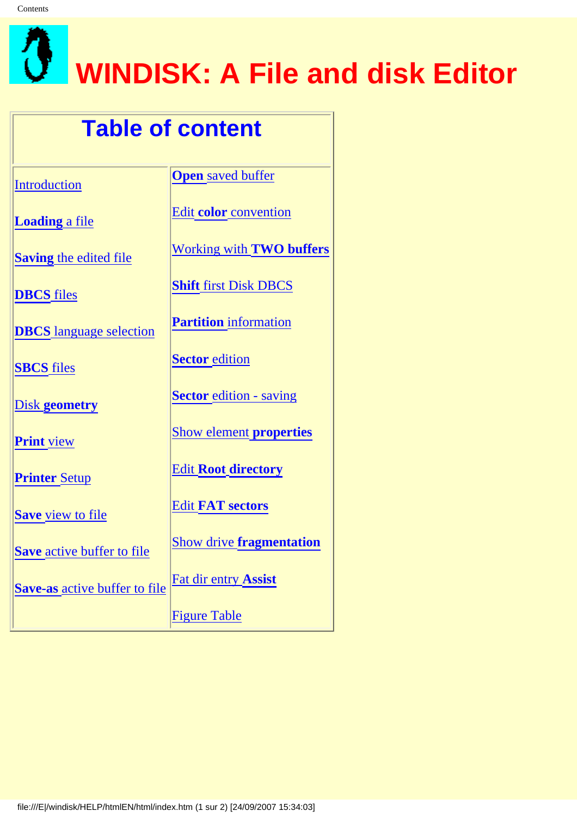<span id="page-0-0"></span>

## **WINDISK: A File and disk Editor**

## **Table of content**

**[Introduction](#page-2-0)** 

**[Loading](#page-5-0)** a file

**Saving** [the edited file](#page-12-0)

**[DBCS](#page-13-0)** files

**DBCS** [language selection](#page-16-0)

**[SBCS](#page-14-0)** files

Disk **[geometry](#page-11-0)**

**[Print](#page-17-0)** view

**[Printer](#page-18-0)** Setup

**Save** [view to file](#page-15-0)

**Save** [active buffer to file](#page-19-0)

**Save-as** [active buffer to file](#page-21-0)

**Open** [saved buffer](#page-24-0)

Edit **color** [convention](#page-25-0)

[Working with](#page-26-0) **TWO buffers**

**Shift** [first Disk DBCS](#page-27-0)

**Partition** [information](#page-9-0)

**[Sector](#page-6-0)** edition

**Sector** [edition - saving](#page-28-0)

[Show element](#page-29-0) **properties**

Edit **Root [directory](#page-37-0)**

Edit **[FAT sectors](#page-43-0)**

Show drive **[fragmentation](#page-41-0)**

[Fat dir entry](#page-39-0) **Assist**

[Figure Table](#page-45-0)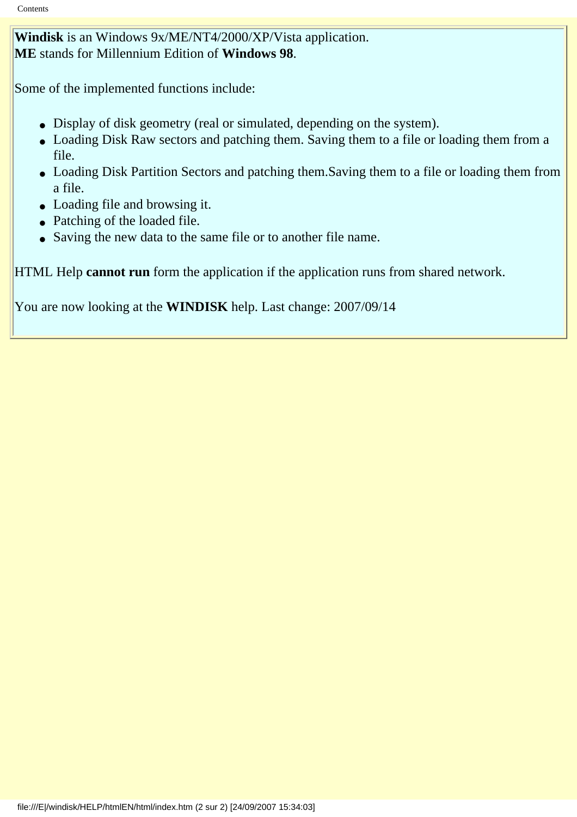**Windisk** is an Windows 9x/ME/NT4/2000/XP/Vista application. **ME** stands for Millennium Edition of **Windows 98**.

Some of the implemented functions include:

- Display of disk geometry (real or simulated, depending on the system).
- Loading Disk Raw sectors and patching them. Saving them to a file or loading them from a file.
- Loading Disk Partition Sectors and patching them.Saving them to a file or loading them from a file.
- Loading file and browsing it.
- Patching of the loaded file.
- Saving the new data to the same file or to another file name.

HTML Help **cannot run** form the application if the application runs from shared network.

You are now looking at the **WINDISK** help. Last change: 2007/09/14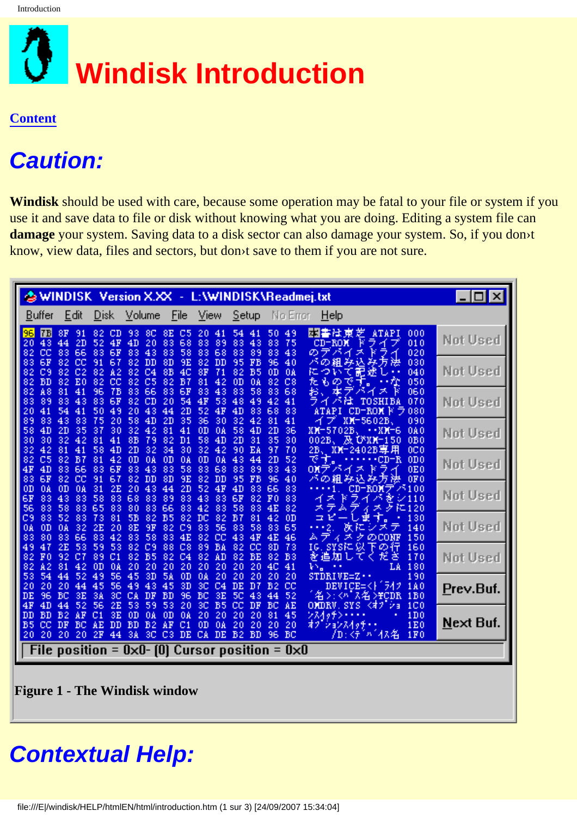<span id="page-2-0"></span>

## **Caution:**

**Windisk** should be used with care, because some operation may be fatal to your file or system if you use it and save data to file or disk without knowing what you are doing. Editing a system file can **damage** your system. Saving data to a disk sector can also damage your system. So, if you don›t know, view data, files and sectors, but don›t save to them if you are not sure.

|                                                                                                                                                                                                                             | WINDISK Version X.XX - L:\WINDISK\Readmej.txt                                                                                                                                                                                                                                                                                            | - 101             |
|-----------------------------------------------------------------------------------------------------------------------------------------------------------------------------------------------------------------------------|------------------------------------------------------------------------------------------------------------------------------------------------------------------------------------------------------------------------------------------------------------------------------------------------------------------------------------------|-------------------|
| Disk<br>Volume<br>Buffer<br>Edit                                                                                                                                                                                            | <b>Eile</b><br>View<br>Setup<br>No Error<br>Heip                                                                                                                                                                                                                                                                                         |                   |
| 7B <br>96<br>8F<br>91<br>82<br>CD<br>8C<br>8E<br>93<br>43<br>44<br>2D<br>52<br>4F<br>4D<br>20<br>83<br>20<br>82<br>cc<br>83<br>66<br>6F<br>83<br>43<br>83<br>83                                                             | 园書社東<br>芝<br><b>ATAPI</b><br>C5<br>20<br>54<br>50<br>49<br>000<br>41<br>41<br>68<br>83<br>89<br>83<br>43<br>83<br>75<br>CD-ROM<br>010<br>ライ<br>フ<br>のデバイ<br>58<br>83<br>68<br>83<br>89<br>83<br>43<br>大<br>020<br>и                                                                                                                      | Not Used          |
| 6F<br><b>DD</b><br>83<br>82<br>cc<br>91<br>67<br>82<br>8D<br>82<br>82<br>82<br>C9<br>C <sub>2</sub><br>82<br>A2<br>C <sub>4</sub><br>8В<br><b>BD</b><br>82<br>E0<br>cс<br>82<br>C5<br>82<br>82<br>82                        | み方法<br>9E<br>DD<br>FB<br>パの組<br>82<br>95<br>96<br>40<br>み込<br>030<br>について記述し<br>4C<br>8F<br>71<br>82<br>B5<br>0 <sub>D</sub><br>0A<br>040<br>たものです。<br>B7<br>81<br>42<br>0 <sub>D</sub><br>82<br>C8<br>- • የድ<br>050<br>0A                                                                                                               | Not Used          |
| 82<br>A8<br>81<br>96<br>7В<br>83<br>66<br>83<br>41<br>CD<br>83<br>83<br>6F<br>82<br>20<br>89<br>43<br>83<br>43<br>54<br>50<br>49<br>20<br>20<br>41<br>41<br>44                                                              | 6F<br>83<br>43<br>83<br>58<br>83<br>68<br>お、<br>本ア<br>060<br>ᄎ<br>ハイ<br>54<br>ライ<br>4F<br>53<br>49<br>42<br>パは<br>48<br>41<br>TOSHIBA<br>070<br>2D<br>52<br>4D<br>83<br>83<br>4F<br>68<br>-CD-ROM F<br>7080<br>ATAPI                                                                                                                     | Not Used          |
| 83<br>43<br>89<br>83<br>75<br>20<br>58<br>4D<br>2D<br>58<br>4D<br>2D<br>37<br>30<br>32<br>42<br>81<br>35<br>30<br>32<br>81<br>41<br>8B<br>82<br>30<br>42<br>79<br>42<br>81<br>58<br>4D<br>2D<br>32<br>34<br>32<br>41        | 35<br>36<br>32<br>41<br>30<br>42<br>81<br>XM-5602B.<br>090<br>イフ<br>41<br>0D<br>58<br>2D<br>36<br>0A<br>4D<br>XM-5702B,<br>--хи-б<br>0A0<br>58<br>2D<br>35<br>30<br>002Б、及びXX-150<br>D <sub>1</sub><br>4D<br>31<br>0B0<br>30<br>90<br>70<br>32<br>42<br>EA<br>97<br>2B、XX-2402B専用<br>0C 0                                                | Not Used          |
| C5<br>81<br>42<br>0 <sub>D</sub><br>0A<br>0 <sub>D</sub><br>82<br>82<br>B7<br>4D<br>83<br>6F<br>83<br>43<br>4F<br>66<br>83<br>83<br>67<br>6F<br>82<br>cс<br>82<br>DD<br>8D<br>83<br>91                                      | 0D<br>52<br>です。<br>0A<br>0A<br>43<br>44<br>2D<br>$\cdots$ CD-R<br>0D <sub>0</sub><br>58<br>83<br>68<br>83<br>43<br>0E0<br>83<br>89<br>OXアバイス<br>ドライ<br>バの組み込み方法<br>9E<br>82<br>DD<br>95<br>F <sub>B</sub><br>96<br>40<br>0F0                                                                                                             | Not Used          |
| 0 <sub>D</sub><br>2E<br>20<br>0 <sub>D</sub><br>0A<br>0A<br>31<br>43<br>44<br>43<br>83<br>6F<br>83<br>83<br>58<br>68<br>83<br>89<br>58<br>56<br>83<br>83<br>83<br>80<br>83<br>66<br>65                                      | 2D<br>52<br>4D<br>66<br>83<br>4F<br>83<br>CD-ROMアパ100<br>. 1<br>ライ<br>83<br>43<br>6F<br>F <sub>0</sub><br>83<br>83<br>82<br>イス<br>ĸ<br>バを<br>$\omega$ 110<br>58<br>83<br>42<br>83<br>83<br>4E<br>82<br>FC 120<br>メテ<br>不<br>ク<br>D.                                                                                                      | Not Used          |
| C9<br>83<br>52<br>83<br>81<br>5B<br>82<br>B5<br>73<br>2Ε<br>20<br>8E<br>0D<br>0A<br>32<br>9F<br>82<br>0A<br>58<br>83<br>80<br>83<br>66<br>83<br>42<br>83<br>83                                                              | 42<br>0D<br>130<br>82<br>DC<br>82<br>B7<br>81<br>n e<br>里<br>医肛<br>83<br>65<br>C9<br>83<br>56<br>83<br>58<br><b>. 2</b> .<br>140<br>シメテ<br>ムテ<br>4E<br>82<br>cc<br>4F<br>4E<br>46<br>'ィスクのCONF<br>150<br>43                                                                                                                              | Not Used          |
| 2E<br>53<br>47<br>59<br>C9<br>49<br>53<br>82<br>88<br>92<br>82<br>B <sub>5</sub><br>82<br>F <sub>0</sub><br>C7<br>89<br>C <sub>1</sub><br>82<br>82<br>A2<br>20<br>20<br>81<br>42<br>0 <sub>D</sub><br>0A<br>20              | 73<br>IG. SYSに以下の行<br>C8<br>82<br>cс<br>8D<br>89<br>BA<br>160<br>BE<br>を追加してくださ<br>C <sub>4</sub><br>82<br>АD<br>82<br>82<br>B3<br>170<br>20<br>20<br>20<br>20<br>4C<br>20<br>41<br>180<br>$V_{\text{eff}}$<br>LA                                                                                                                        | Not Used          |
| 53<br>54<br>52<br>49<br>56<br>45<br>3D<br><b>5A</b><br>44<br>56<br>20<br>20<br>20<br>45<br>49<br>43<br>45<br>44<br>3C<br>DE<br>96<br>ВC<br>3E<br>3A<br>СA<br>DF<br>ВD<br>59<br>4F<br>4D<br>52<br>56<br>2E<br>53<br>53<br>44 | 20<br>0D<br>0A<br>20<br>20<br>20<br>20<br>$STDRIVE=Z \cdot \cdot$<br>190<br>DEVICE=<}^542<br>3D<br>3C<br>C4<br>DE<br>B <sub>2</sub><br>cc<br>D7<br>1A0<br>名>:<パス名> <del>r</del> cDR<br>96<br>BC<br>3E<br>5C<br>52<br>43<br>1 <sub>B0</sub><br>44<br>20<br>OMDRV.SYS <オブショ<br>3C<br><b>B5</b><br>cc<br>DF<br>ВC<br>AE<br>1 <sub>C</sub> 0 | <u>P</u> rev.Buf. |
| <b>BD</b><br>3E<br>DD<br>B2<br>ÁΕ<br>C1<br>0D<br>θA<br>0 <sub>D</sub><br>DF<br><b>BD</b><br><b>B5</b><br>cс<br>ВC<br>АE<br>DD<br>B <sub>2</sub><br>АF<br>20<br>20<br>20<br>2F<br>3A<br>3C<br>C3<br>20<br>44                 | 45<br>0A<br>20<br>81<br>1D0<br>20<br>20<br>20<br>ンスイッチン・<br>$\bullet$<br>1E0<br>20<br>20<br>20<br>C <sub>1</sub><br>0D<br>0A<br>20<br>オブションスイッチ・・<br>/D:<デバイス名<br>1F0<br>DE<br>CA<br>DE<br>B <sub>2</sub><br><b>BD</b><br>96<br>BC                                                                                                       | Next Buf.         |
| File position = 0x0- [0] Cursor position = 0x0                                                                                                                                                                              |                                                                                                                                                                                                                                                                                                                                          |                   |

<span id="page-2-1"></span>**Figure 1 - The Windisk window**

## **Contextual Help:**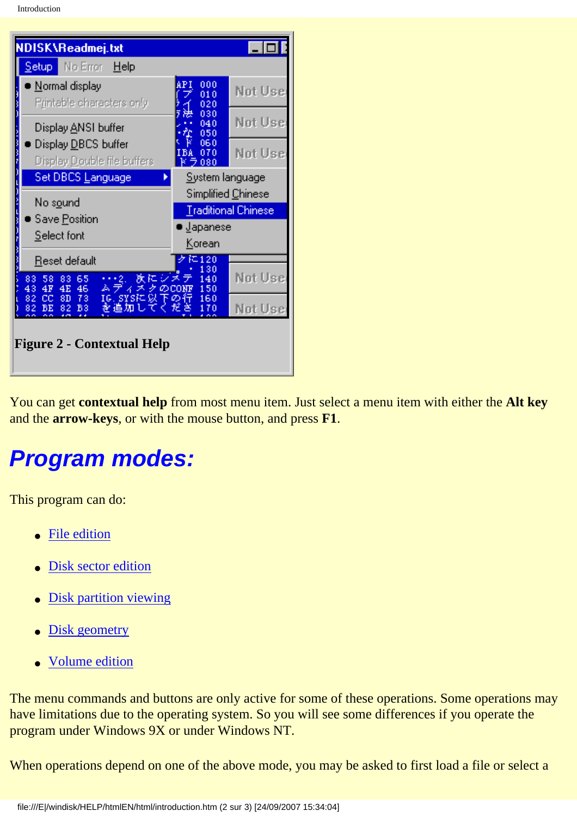| NDISK\Readmej.txt                                                                         |                             | $\overline{\phantom{a}}$ . $\overline{\phantom{a}}$ |
|-------------------------------------------------------------------------------------------|-----------------------------|-----------------------------------------------------|
| No Error Help<br><u>Setup i</u>                                                           |                             |                                                     |
| Normal display<br>Printable characters only                                               | AP I<br>000<br>010<br>020   | Not Use                                             |
| Display ANSI buffer                                                                       | 030<br>040<br>050           | Not Use                                             |
| Display DBCS buffer<br>Display Double file buffers                                        | 060<br>070<br>БA<br>k ラ 080 | Not Use                                             |
| Set DBCS Language<br>System language                                                      |                             |                                                     |
| No s <u>o</u> und                                                                         | Simplified Chinese          |                                                     |
| Save Position                                                                             | <b>Traditional Chinese</b>  |                                                     |
| Select font                                                                               | • <u>J</u> apanese          |                                                     |
|                                                                                           | <u>Korean</u>               |                                                     |
| Reset default                                                                             | に120<br>130                 |                                                     |
| 欧にシメ<br>65<br>$+2.$<br>83<br>58<br>83<br>4E<br>4F<br>46<br>ムテ<br>イス<br>$\varpi$ co<br>43. | 140<br>150                  | Not Use                                             |
| 82<br>cc<br>8D<br>73<br>IG. SYSK.<br>ж<br>B <sub>3</sub><br>BЕ<br>82<br>を追加<br>82         | 160<br>下の行<br>ださ<br>170     | Not Use                                             |
| <b>Figure 2 - Contextual Help</b>                                                         |                             |                                                     |

<span id="page-3-0"></span>You can get **contextual help** from most menu item. Just select a menu item with either the **Alt key** and the **arrow-keys**, or with the mouse button, and press **F1**.

## **Program modes:**

This program can do:

- [File edition](#page-5-0)
- [Disk sector edition](#page-6-0)
- **[Disk partition viewing](#page-9-0)**
- [Disk geometry](#page-11-0)
- [Volume edition](#page-6-0)

The menu commands and buttons are only active for some of these operations. Some operations may have limitations due to the operating system. So you will see some differences if you operate the program under Windows 9X or under Windows NT.

When operations depend on one of the above mode, you may be asked to first load a file or select a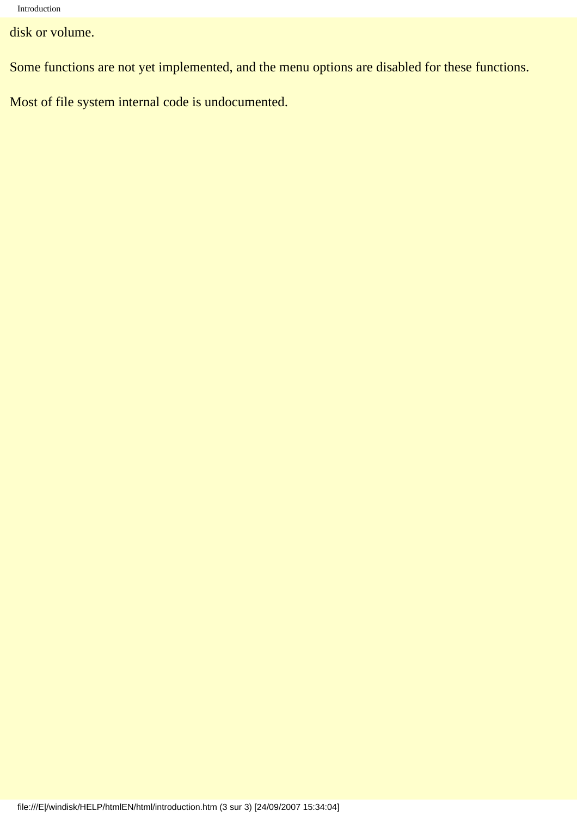disk or volume.

Some functions are not yet implemented, and the menu options are disabled for these functions.

Most of file system internal code is undocumented.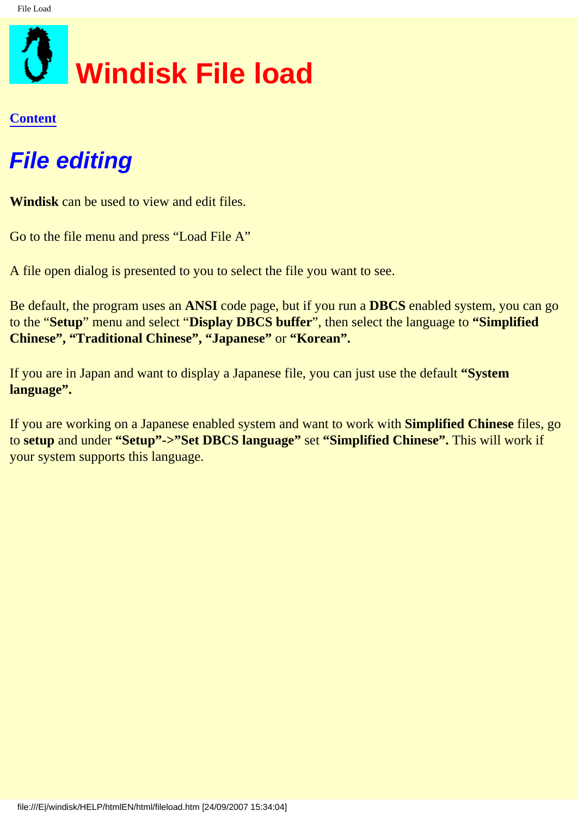<span id="page-5-0"></span>

## **File editing**

**Windisk** can be used to view and edit files.

Go to the file menu and press "Load File A"

A file open dialog is presented to you to select the file you want to see.

Be default, the program uses an **ANSI** code page, but if you run a **DBCS** enabled system, you can go to the "**Setup**" menu and select "**Display DBCS buffer**", then select the language to **"Simplified Chinese", "Traditional Chinese", "Japanese"** or **"Korean".**

If you are in Japan and want to display a Japanese file, you can just use the default **"System language".** 

If you are working on a Japanese enabled system and want to work with **Simplified Chinese** files, go to **setup** and under **"Setup"->"Set DBCS language"** set **"Simplified Chinese".** This will work if your system supports this language.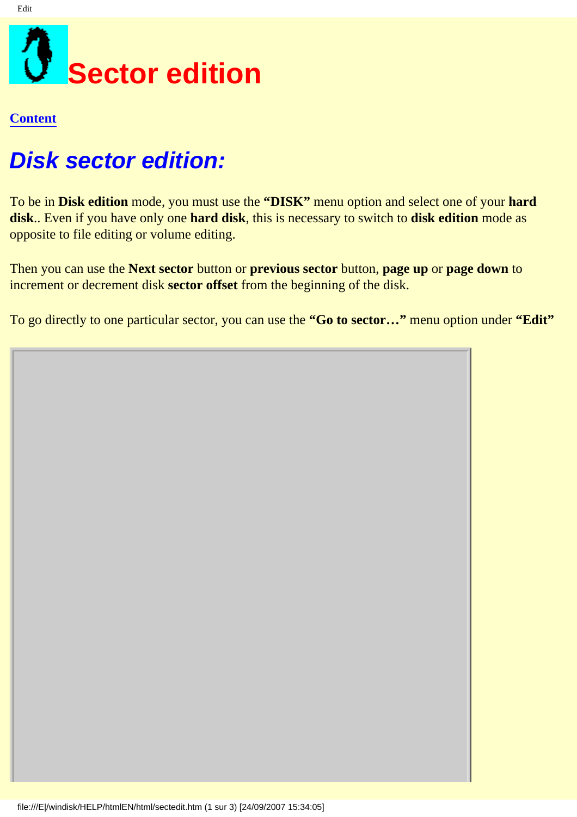## <span id="page-6-0"></span>**Disk sector edition:**

To be in **Disk edition** mode, you must use the **"DISK"** menu option and select one of your **hard disk**.. Even if you have only one **hard disk**, this is necessary to switch to **disk edition** mode as opposite to file editing or volume editing.

Then you can use the **Next sector** button or **previous sector** button, **page up** or **page down** to increment or decrement disk **sector offset** from the beginning of the disk.

To go directly to one particular sector, you can use the **"Go to sector…"** menu option under **"Edit"**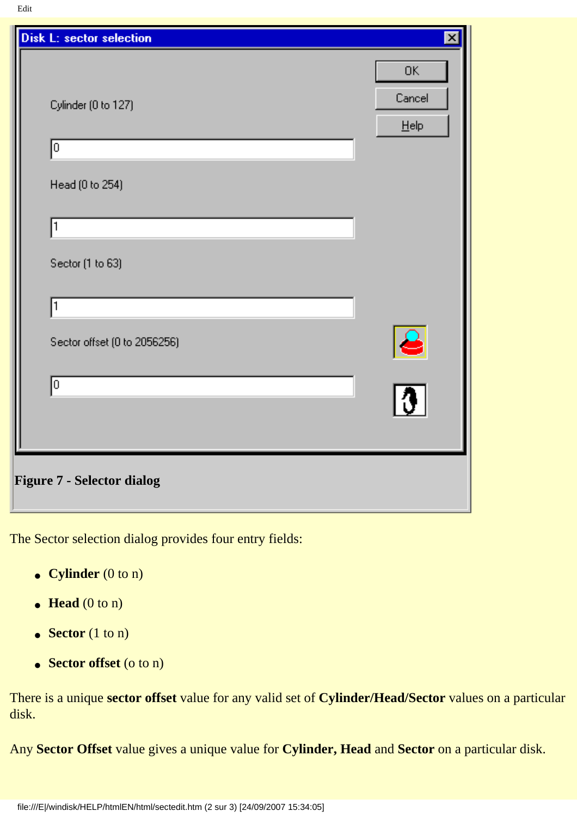| Disk L: sector selection          | $\vert x \vert$      |
|-----------------------------------|----------------------|
|                                   | 0K                   |
| Cylinder (0 to 127)               | Cancel               |
|                                   | $He$ lp              |
| lо                                |                      |
| Head (0 to 254)                   |                      |
| 1                                 |                      |
|                                   |                      |
| Sector (1 to 63)                  |                      |
| 1                                 |                      |
|                                   |                      |
| Sector offset (0 to 2056256)      | $\frac{1}{\sqrt{3}}$ |
| o                                 |                      |
|                                   |                      |
|                                   |                      |
| <b>Figure 7 - Selector dialog</b> |                      |
|                                   |                      |

The Sector selection dialog provides four entry fields:

- **Cylinder** (0 to n)
- $\bullet$  **Head** (0 to n)
- **Sector** (1 to n)
- **Sector offset** (o to n)

There is a unique **sector offset** value for any valid set of **Cylinder/Head/Sector** values on a particular disk.

Any **Sector Offset** value gives a unique value for **Cylinder, Head** and **Sector** on a particular disk.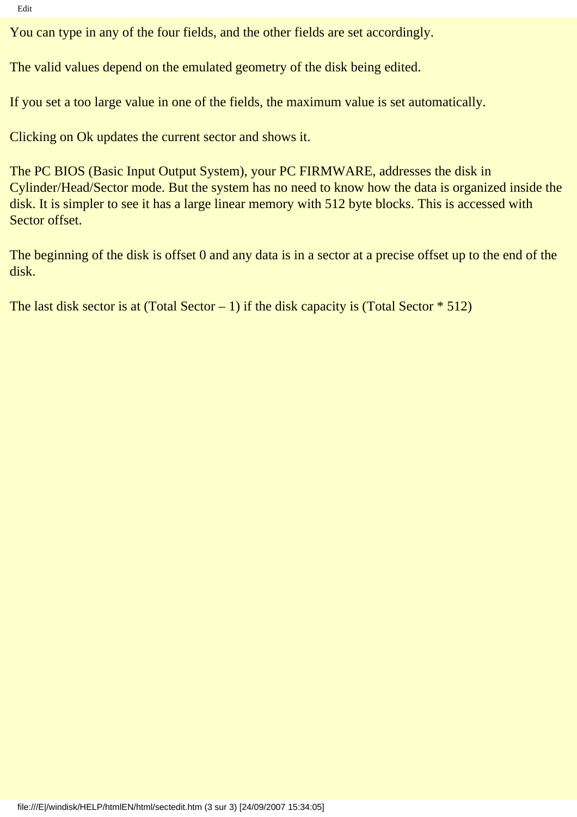Edit

You can type in any of the four fields, and the other fields are set accordingly.

The valid values depend on the emulated geometry of the disk being edited.

If you set a too large value in one of the fields, the maximum value is set automatically.

Clicking on Ok updates the current sector and shows it.

The PC BIOS (Basic Input Output System), your PC FIRMWARE, addresses the disk in Cylinder/Head/Sector mode. But the system has no need to know how the data is organized inside the disk. It is simpler to see it has a large linear memory with 512 byte blocks. This is accessed with Sector offset.

The beginning of the disk is offset 0 and any data is in a sector at a precise offset up to the end of the disk.

The last disk sector is at (Total Sector – 1) if the disk capacity is (Total Sector  $* 512$ )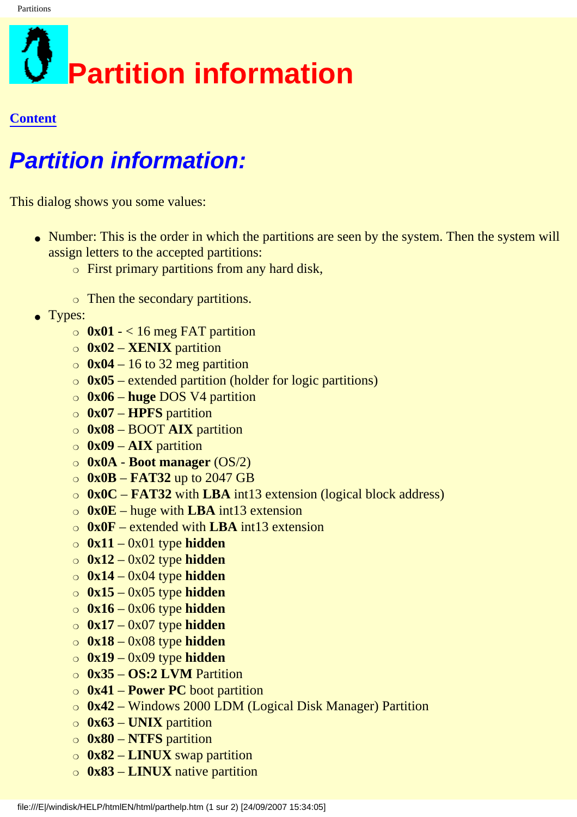<span id="page-9-0"></span>

## **Partition information:**

This dialog shows you some values:

- Number: This is the order in which the partitions are seen by the system. Then the system will assign letters to the accepted partitions:
	- $\circ$  First primary partitions from any hard disk,
	- ❍ Then the secondary partitions.
- Types:
	- $\circ$  0x01 < 16 meg FAT partition
	- ❍ **0x02 XENIX** partition
	- $\circ$  0x04 16 to 32 meg partition
	- ❍ **0x05** extended partition (holder for logic partitions)
	- ❍ **0x06 huge** DOS V4 partition
	- ❍ **0x07 HPFS** partition
	- ❍ **0x08** BOOT **AIX** partition
	- ❍ **0x09 AIX** partition
	- ❍ **0x0A Boot manager** (OS/2)
	- ❍ **0x0B FAT32** up to 2047 GB
	- ❍ **0x0C FAT32** with **LBA** int13 extension (logical block address)
	- ❍ **0x0E** huge with **LBA** int13 extension
	- ❍ **0x0F** extended with **LBA** int13 extension
	- ❍ **0x11** 0x01 type **hidden**
	- ❍ **0x12** 0x02 type **hidden**
	- ❍ **0x14** 0x04 type **hidden**
	- ❍ **0x15** 0x05 type **hidden**
	- ❍ **0x16** 0x06 type **hidden**
	- ❍ **0x17** 0x07 type **hidden**
	- ❍ **0x18** 0x08 type **hidden**
	- ❍ **0x19** 0x09 type **hidden**
	- ❍ **0x35 OS:2 LVM** Partition
	- ❍ **0x41 Power PC** boot partition
	- ❍ **0x42** Windows 2000 LDM (Logical Disk Manager) Partition
	- ❍ **0x63 UNIX** partition
	- ❍ **0x80 NTFS** partition
	- ❍ **0x82 LINUX** swap partition
	- ❍ **0x83 LINUX** native partition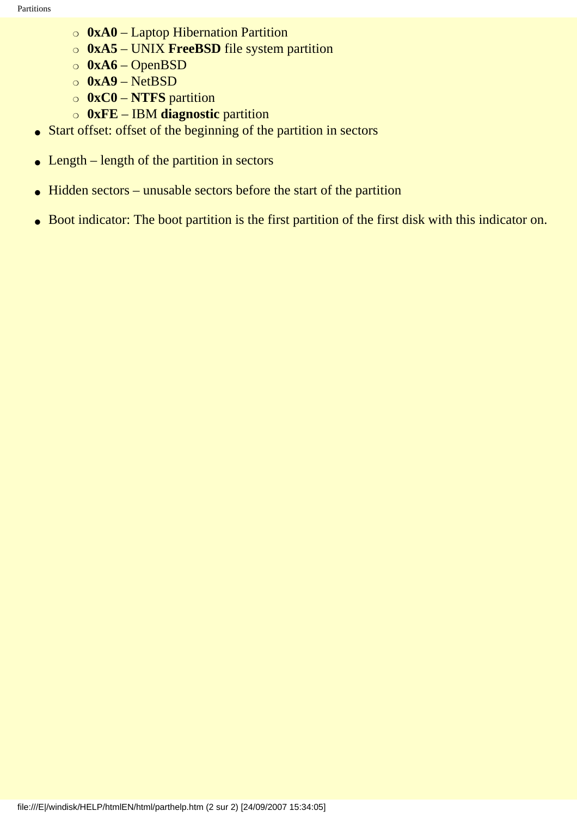- ❍ **0xA0** Laptop Hibernation Partition
- ❍ **0xA5** UNIX **FreeBSD** file system partition
- ❍ **0xA6** OpenBSD
- ❍ **0xA9** NetBSD
- ❍ **0xC0 NTFS** partition
- ❍ **0xFE** IBM **diagnostic** partition
- Start offset: offset of the beginning of the partition in sectors
- $\bullet$  Length length of the partition in sectors
- $\bullet$  Hidden sectors unusable sectors before the start of the partition
- Boot indicator: The boot partition is the first partition of the first disk with this indicator on.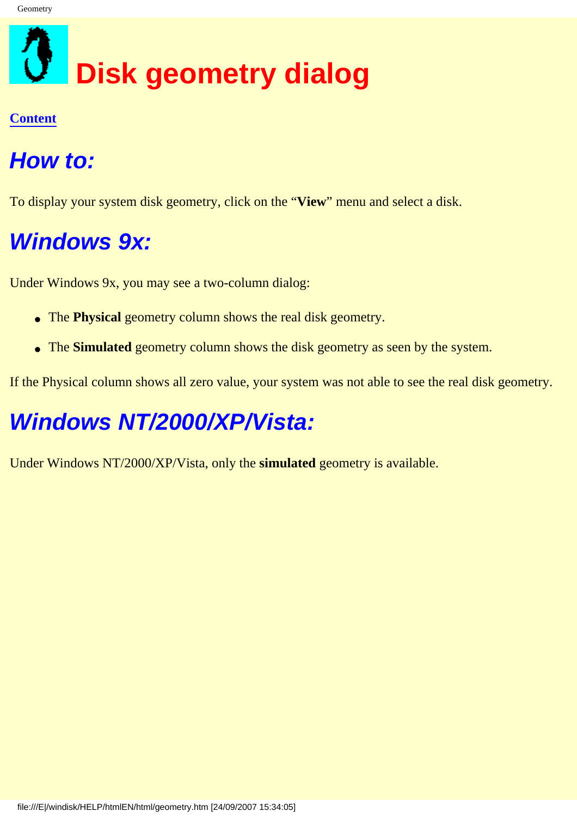# <span id="page-11-0"></span>**Disk geometry dialog**

#### **[Content](#page-0-0)**

## **How to:**

To display your system disk geometry, click on the "**View**" menu and select a disk.

## **Windows 9x:**

Under Windows 9x, you may see a two-column dialog:

- The **Physical** geometry column shows the real disk geometry.
- The **Simulated** geometry column shows the disk geometry as seen by the system.

If the Physical column shows all zero value, your system was not able to see the real disk geometry.

## **Windows NT/2000/XP/Vista:**

Under Windows NT/2000/XP/Vista, only the **simulated** geometry is available.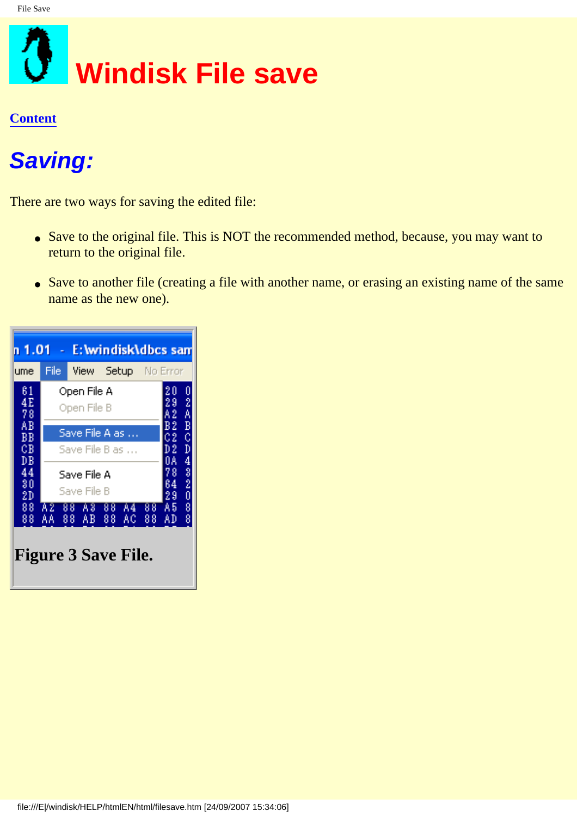<span id="page-12-0"></span>

## **Saving:**

There are two ways for saving the edited file:

- Save to the original file. This is NOT the recommended method, because, you may want to return to the original file.
- Save to another file (creating a file with another name, or erasing an existing name of the same name as the new one).

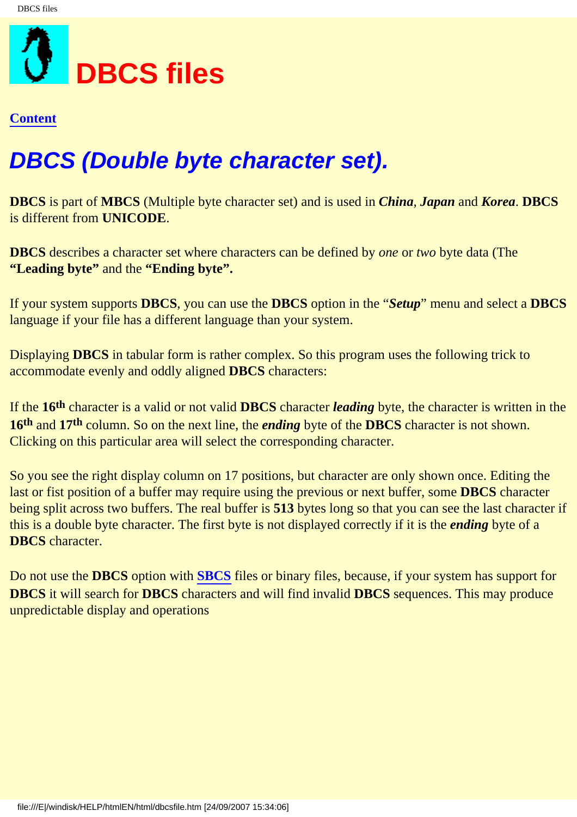<span id="page-13-0"></span>

## **DBCS (Double byte character set).**

**DBCS** is part of **MBCS** (Multiple byte character set) and is used in *China*, *Japan* and *Korea*. **DBCS** is different from **UNICODE**.

**DBCS** describes a character set where characters can be defined by *one* or *two* byte data (The **"Leading byte"** and the **"Ending byte".**

If your system supports **DBCS**, you can use the **DBCS** option in the "*Setup*" menu and select a **DBCS** language if your file has a different language than your system.

Displaying **DBCS** in tabular form is rather complex. So this program uses the following trick to accommodate evenly and oddly aligned **DBCS** characters:

If the **16th** character is a valid or not valid **DBCS** character *leading* byte, the character is written in the **16th** and **17th** column. So on the next line, the *ending* byte of the **DBCS** character is not shown. Clicking on this particular area will select the corresponding character.

So you see the right display column on 17 positions, but character are only shown once. Editing the last or fist position of a buffer may require using the previous or next buffer, some **DBCS** character being split across two buffers. The real buffer is **513** bytes long so that you can see the last character if this is a double byte character. The first byte is not displayed correctly if it is the *ending* byte of a **DBCS** character.

Do not use the **DBCS** option with **[SBCS](#page-14-0)** files or binary files, because, if your system has support for **DBCS** it will search for **DBCS** characters and will find invalid **DBCS** sequences. This may produce unpredictable display and operations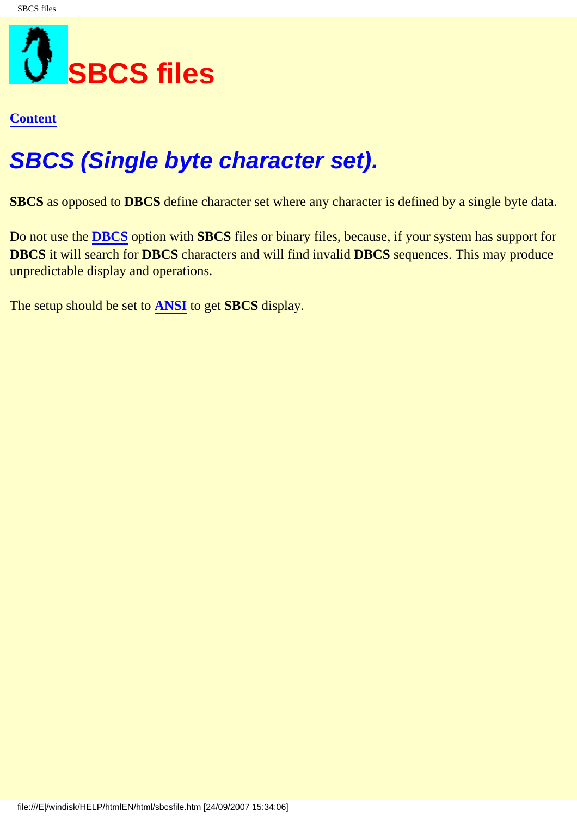<span id="page-14-0"></span>

## **SBCS (Single byte character set).**

**SBCS** as opposed to **DBCS** define character set where any character is defined by a single byte data.

Do not use the **[DBCS](#page-13-0)** option with **SBCS** files or binary files, because, if your system has support for **DBCS** it will search for **DBCS** characters and will find invalid **DBCS** sequences. This may produce unpredictable display and operations.

The setup should be set to **[ANSI](#page-15-0)** to get **SBCS** display.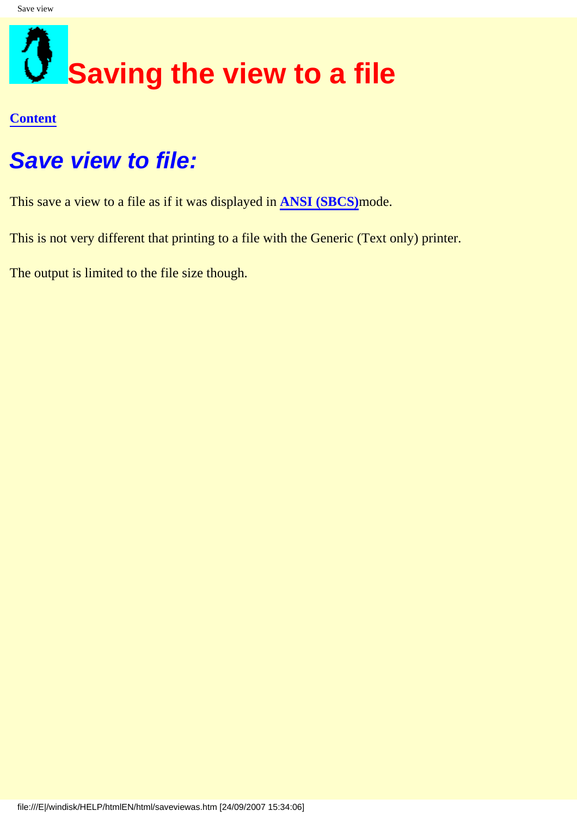## <span id="page-15-0"></span>**Saving the view to a file**

#### **[Content](#page-0-0)**

### **Save view to file:**

This save a view to a file as if it was displayed in **[ANSI \(SBCS\)](#page-14-0)**mode.

This is not very different that printing to a file with the Generic (Text only) printer.

The output is limited to the file size though.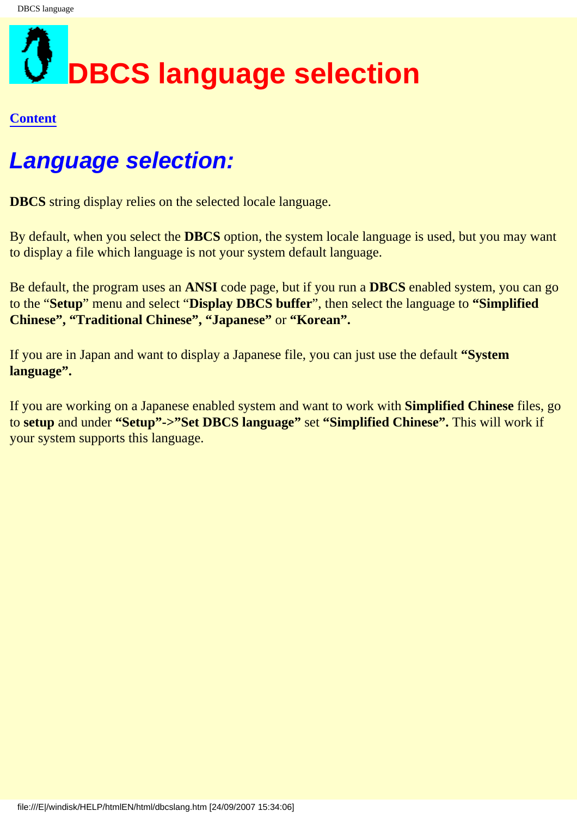# <span id="page-16-0"></span>**DBCS language selection**

#### **[Content](#page-0-0)**

### **Language selection:**

**DBCS** string display relies on the selected locale language.

By default, when you select the **DBCS** option, the system locale language is used, but you may want to display a file which language is not your system default language.

Be default, the program uses an **ANSI** code page, but if you run a **DBCS** enabled system, you can go to the "**Setup**" menu and select "**Display DBCS buffer**", then select the language to **"Simplified Chinese", "Traditional Chinese", "Japanese"** or **"Korean".**

If you are in Japan and want to display a Japanese file, you can just use the default **"System language".** 

If you are working on a Japanese enabled system and want to work with **Simplified Chinese** files, go to **setup** and under **"Setup"->"Set DBCS language"** set **"Simplified Chinese".** This will work if your system supports this language.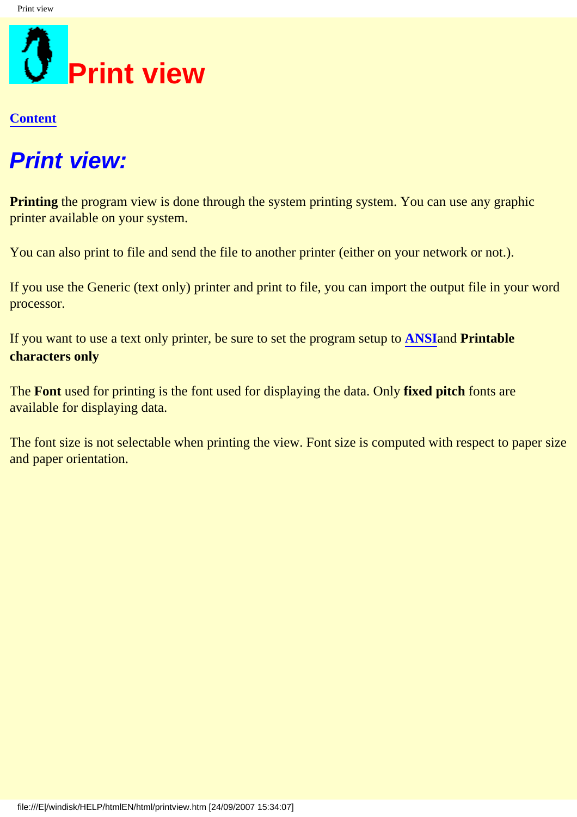<span id="page-17-0"></span>

## **Print view:**

**Printing** the program view is done through the system printing system. You can use any graphic printer available on your system.

You can also print to file and send the file to another printer (either on your network or not.).

If you use the Generic (text only) printer and print to file, you can import the output file in your word processor.

If you want to use a text only printer, be sure to set the program setup to **[ANSI](#page-14-0)**and **Printable characters only**

The **Font** used for printing is the font used for displaying the data. Only **fixed pitch** fonts are available for displaying data.

The font size is not selectable when printing the view. Font size is computed with respect to paper size and paper orientation.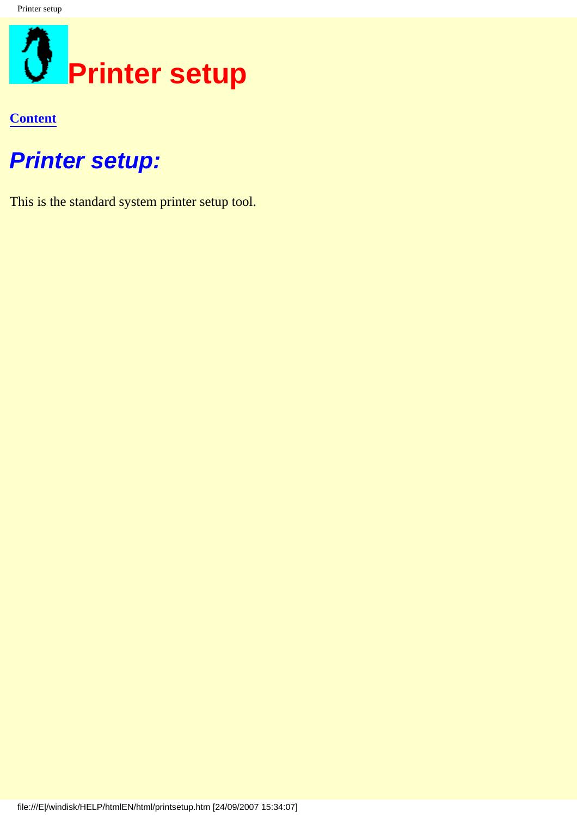<span id="page-18-0"></span>

### **Printer setup:**

This is the standard system printer setup tool.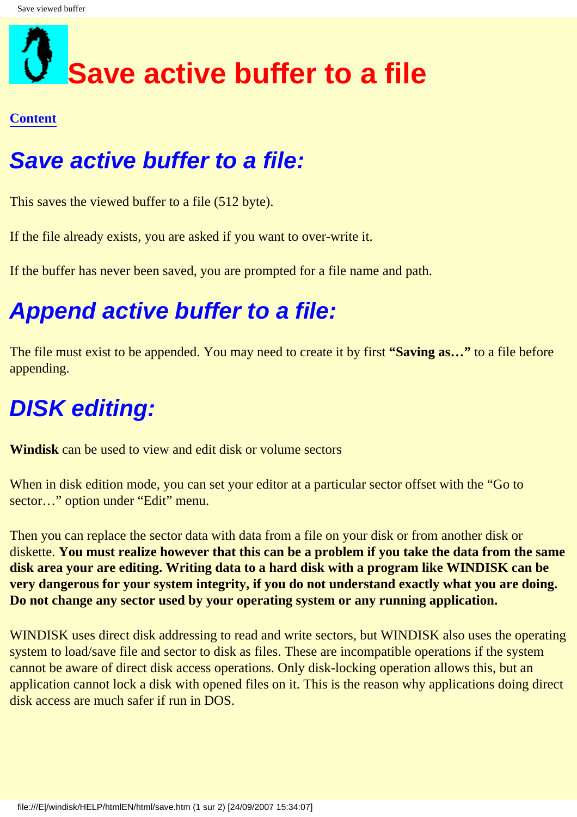## <span id="page-19-0"></span>**Save active buffer to a file**

#### **[Content](#page-0-0)**

## **Save active buffer to a file:**

This saves the viewed buffer to a file (512 byte).

If the file already exists, you are asked if you want to over-write it.

If the buffer has never been saved, you are prompted for a file name and path.

## **Append active buffer to a file:**

The file must exist to be appended. You may need to create it by first **"Saving as…"** to a file before appending.

## **DISK editing:**

**Windisk** can be used to view and edit disk or volume sectors

When in disk edition mode, you can set your editor at a particular sector offset with the "Go to" sector..." option under "Edit" menu.

Then you can replace the sector data with data from a file on your disk or from another disk or diskette. **You must realize however that this can be a problem if you take the data from the same disk area your are editing. Writing data to a hard disk with a program like WINDISK can be very dangerous for your system integrity, if you do not understand exactly what you are doing. Do not change any sector used by your operating system or any running application.**

WINDISK uses direct disk addressing to read and write sectors, but WINDISK also uses the operating system to load/save file and sector to disk as files. These are incompatible operations if the system cannot be aware of direct disk access operations. Only disk-locking operation allows this, but an application cannot lock a disk with opened files on it. This is the reason why applications doing direct disk access are much safer if run in DOS.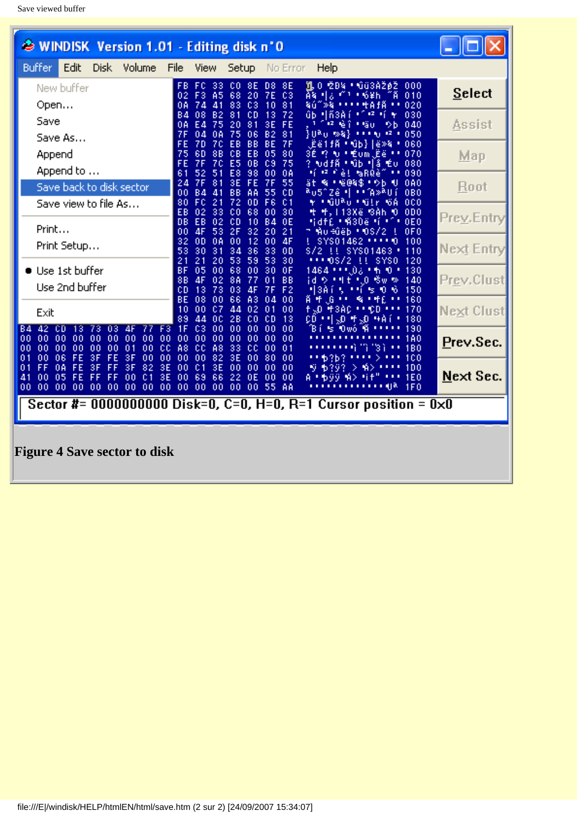<span id="page-20-0"></span>

| WINDISK Version 1.01 - Editing disk n'O                                                                                                                                                                                                                     |               |  |
|-------------------------------------------------------------------------------------------------------------------------------------------------------------------------------------------------------------------------------------------------------------|---------------|--|
| <b>Buffer</b><br>Edit<br>Disk.<br>Volume<br>File<br>View<br>Help<br>Setup<br>No Error                                                                                                                                                                       |               |  |
| 1 O ŽD4 ∙ úü3ÀŽØŽ<br>CO.<br>8E<br>8E<br>FB.<br>FC.<br>33<br>D8<br>000<br>New buffer<br>68<br>20<br>Āš.<br>回る<br>010<br>02.<br>F3.<br>A5<br>7E<br>C3<br>m t<br>±6¥h                                                                                          | <b>Select</b> |  |
| Open<br>0A<br>74<br>41<br>83<br>C3<br>81<br>020<br>10<br>ବ∪ି≫ବ<br>+AfÄ<br>81<br>CD<br>72<br>ûb Mñ3Aí<br>030<br><b>B4</b><br>08<br><b>B2</b><br>13<br>10 IZ 16<br>٠                                                                                          |               |  |
| Save<br>75<br>81<br>0A<br>E4<br>20<br>3E<br>FE<br>12 Q<br>ï<br>040<br>±%u<br>₿b                                                                                                                                                                             | Assist        |  |
| }URu ⊗&}<br>7F<br>050<br>04<br>0A<br>75<br>06<br><b>B2</b><br><b>LEAR</b><br>92.<br>81<br>Save As<br>BB<br>FE<br>70<br>EB<br>BE<br>7F<br>.Ëë1fà "Nûb} ë≫&<br>-060<br>7D<br>٠                                                                                |               |  |
| 75<br>EB<br>Append<br>60<br>88<br>cв<br>05<br>80<br>1? N * Éum .Ëë * *<br>070<br>3É.                                                                                                                                                                        | Map           |  |
| FE<br>E <sub>5</sub><br>0B<br>C <sub>9</sub><br>75<br>7F<br>70<br>? Ndfà (Njb 4å Éu)<br>080<br>Append to<br>61<br>98<br>મંજ કેટ! આ RQè<br>52<br>51<br>E8<br>00<br>0A<br>090<br>.,                                                                           |               |  |
| 3E<br>FE<br>24<br>7F<br>81<br>7F<br>55<br><b>略:昭@&amp;\$:少b</b><br>0A0<br>ät<br>ш<br>Save back to disk sector.<br>00<br>BB<br>AA<br>55<br><sup>a</sup> u5^Zê l  ( A≫ <sup>a</sup> Uí<br><b>0B0</b><br>41<br>сD<br>BД                                        | Root          |  |
| 72<br>80<br>FC<br>21<br>0 <sub>D</sub><br>F6<br>C <sub>1</sub><br>±GURû±Gir 6A<br>0 <sub>C</sub><br>Save view to file As…                                                                                                                                   |               |  |
| EB<br>02<br>33<br>68<br>$_{\rm CO}$<br>00<br>30<br>ዛ ዛ.113Xê SAN O<br>0D <sub>0</sub><br><b>DB</b><br>EB<br>02<br>0E0<br><b>CD</b><br>10<br><b>B4</b><br>0E<br>Hidf6 + MSDë fil                                                                             | Prey.Entry    |  |
| Print<br>00<br>4F<br>53<br>2F<br>32<br>20<br>21<br>7 Mu÷ûëb ∙ OS/2<br>0F <sub>0</sub>                                                                                                                                                                       |               |  |
| 12<br>32<br>0A<br>00<br>0 <sub>D</sub><br>00<br>4F<br>10<br>100<br>SYS01462<br>Print Setup<br>53<br>36<br>33<br>30<br>31<br>34<br><b>OD</b><br>110<br>S/2 !! SYS01463 "                                                                                     | Next Entry    |  |
| 21<br>53<br>21<br>20<br>59<br>53<br>30<br>$-0S/2$<br>LL SYSO<br>-120<br><b>BF</b><br>00 <sub>1</sub><br>68<br>1464 ፣ ፣ መልክት ወስ<br>05<br>00<br>30<br>0F<br>-130                                                                                              |               |  |
| $\bullet$ Use 1st buffer<br>88<br>4F<br>02<br>-8A<br>77<br>BB<br>id የ የዛቲ የ.O ሜw %<br>140<br>01                                                                                                                                                             | Prev.Clust    |  |
| Use 2nd buffer<br>CD<br>73<br>13<br>03<br>F2<br>*ISA í<br>150<br>4F<br>7F<br>-0-6<br>-51<br>u nj<br>BE<br>66<br>A3<br>08<br>00<br>04<br>00<br>Ä.<br>叶<br>%, + + £<br>160<br>. G<br><br>ш                                                                    |               |  |
| 10<br>-07<br>44<br>02<br>01<br>00<br>fiko (†3AC († 100)<br>170<br>00.<br>Exit                                                                                                                                                                               | Next Clust    |  |
| 89<br>44<br>$_{00}$<br>28<br>CO.<br>сD<br>13<br>叶翅 单翅 林鲜<br>180<br>CD.<br>$F3$ 1 $F$<br>C3<br>00<br>B4 42 CD<br>00<br>00<br>00<br>00<br>≒ Owó A<br>190<br>13<br>73<br>03<br>Βí<br>4F<br>77                                                                  |               |  |
| 00 <sub>1</sub><br>0000<br>00<br>00<br>00<br>00<br>00<br>00.<br>00<br>-00<br>00<br>00<br>00<br>00<br>00<br>1A0<br>''3 ì                                                                                                                                     | Prev.Sec.     |  |
| 00 <sub>1</sub><br>cc<br>A8<br>A8<br>33<br>00<br>00<br>00<br>00<br>00<br>01<br>00<br>сc<br>сc<br>00<br>01<br><b>1BO</b><br><br>00<br>00<br>06<br>FE<br>3F<br>FE<br>3F<br>00<br>00<br>00<br>82<br>3E<br>00<br>80<br>00<br>100<br>01<br>63b3<br>. .           |               |  |
| FF<br>0A<br>3F<br>82<br>3E<br>FE<br>FF<br>3F<br>00<br>01<br>3E<br>00<br>00<br>00<br>00<br><b>1DO</b><br>01<br>-A><br>⋗.<br>FE<br>3E<br>00<br>69<br>66<br>22<br>0E<br>00<br>00<br><b>1E0</b><br>41<br>00<br>-05<br>00<br>01<br>FF<br>FF<br>#i f<br>ŸŰ<br>₩Ω. | Next Sec.     |  |
| 000000<br>00 <sub>0</sub><br>00 <sub>1</sub><br>00 00 00<br>00<br>-00<br>00<br>00<br>00<br>00,55<br>-AA<br>। बाह्य<br>1F0                                                                                                                                   |               |  |
| Sector #= 0000000000 Disk=0, C=0, H=0, R=1 Cursor position = $0 \times 0$                                                                                                                                                                                   |               |  |
|                                                                                                                                                                                                                                                             |               |  |
| <b>Figure 4 Save sector to disk</b>                                                                                                                                                                                                                         |               |  |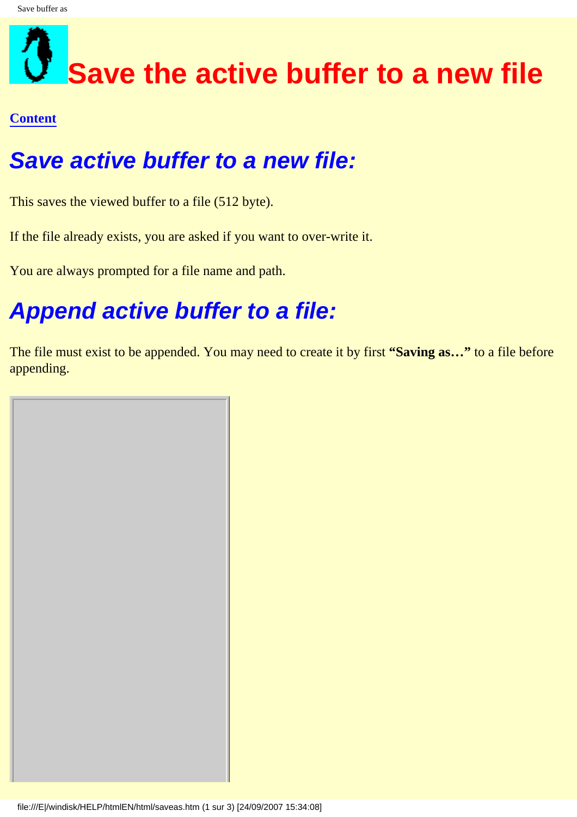## <span id="page-21-0"></span>**Save the active buffer to a new file**

#### **[Content](#page-0-0)**

### **Save active buffer to a new file:**

This saves the viewed buffer to a file (512 byte).

If the file already exists, you are asked if you want to over-write it.

You are always prompted for a file name and path.

## **Append active buffer to a file:**

The file must exist to be appended. You may need to create it by first **"Saving as…"** to a file before appending.

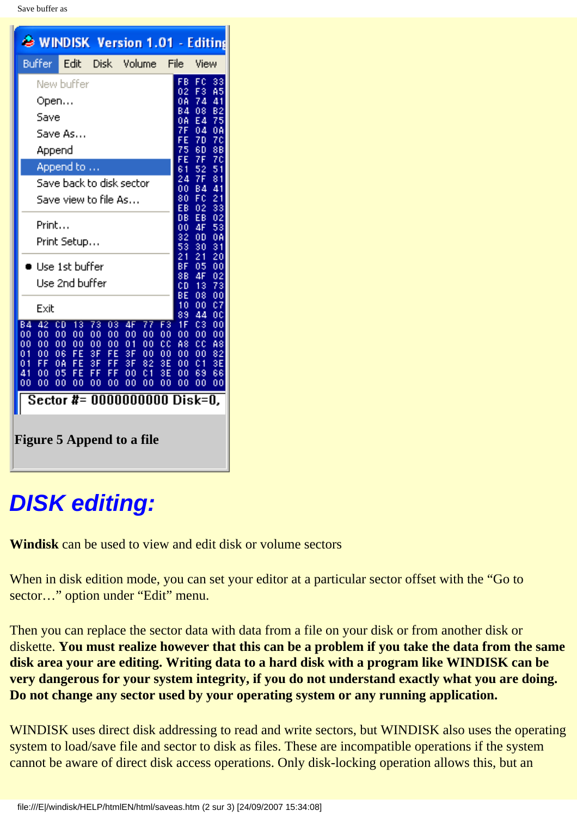| Buffer<br>Edit<br>File<br>Disk –<br>Volume<br>View<br>FC<br>FB<br>33<br>New buffer<br>A5<br>F3<br>02<br>74<br>Open<br>0A<br>41<br>84<br>08<br>B2<br>75<br>Save<br>E4<br>0A<br>7F<br>04<br>0A<br>Save As<br>FE<br>70<br>70                                                                                                                                                                                                                                                                                                                                                            |
|--------------------------------------------------------------------------------------------------------------------------------------------------------------------------------------------------------------------------------------------------------------------------------------------------------------------------------------------------------------------------------------------------------------------------------------------------------------------------------------------------------------------------------------------------------------------------------------|
|                                                                                                                                                                                                                                                                                                                                                                                                                                                                                                                                                                                      |
| 75<br>88<br>60<br>Append                                                                                                                                                                                                                                                                                                                                                                                                                                                                                                                                                             |
| 7F<br>7¢<br>FE<br>Append to<br>61<br>$\frac{51}{81}$<br>52<br>7F<br>24<br>Save back to disk sector<br>41<br>00<br>84<br>80<br>FC<br>21<br>Save view to file As…<br>33<br>ĒВ<br>02                                                                                                                                                                                                                                                                                                                                                                                                    |
| DB<br>EВ<br>02<br>Print<br>4F<br>53<br>00<br>0Ă<br>32<br>0D<br>Print Setup<br>53<br>30<br>31<br>20<br>21<br>21<br>BF<br>$\blacksquare$ Use 1st buffer<br>05<br>00                                                                                                                                                                                                                                                                                                                                                                                                                    |
| 88<br>02<br>4F<br>Use 2nd buffer<br>73<br>ĊD,<br>13<br>BΕ<br>08<br>00<br>¢7<br>10<br>00<br>Exit<br>89<br>44<br>ОC                                                                                                                                                                                                                                                                                                                                                                                                                                                                    |
| 42<br>73<br>$\overline{03}$<br>77.<br>1F<br>84<br>CD.<br>13<br>4F.<br>C3<br>00<br>F3.<br>00<br>00<br>00<br>00<br>00<br>00<br>00<br>00<br>$\overline{00}$<br>00<br>00<br>00<br>OO.<br>00.<br>00<br>00<br>00<br>00<br>01<br>00<br>cс<br>A8<br>cc<br>A8<br>3F<br>FE<br>FE<br>3F<br>01<br>00.<br>06<br>00<br>00<br>00<br>00<br>82<br>FF.<br>FE.<br>3F<br>FF.<br>3F<br>3E<br>0Ā<br>82<br>3E<br>C1<br>01<br>00<br>41<br>05<br>FE<br>FF.<br>FF.<br>3E<br>69<br>66<br>00<br>00<br>C <sub>1</sub><br>00<br>00<br>OO.<br>00<br>00<br>00<br>00<br>00 <sub>1</sub><br>00<br>00<br>00<br>00<br>00 |
| Sector #= 0000000000 Disk=0,<br>Figure 5 Append to a file                                                                                                                                                                                                                                                                                                                                                                                                                                                                                                                            |

## <span id="page-22-0"></span>**DISK editing:**

**Windisk** can be used to view and edit disk or volume sectors

When in disk edition mode, you can set your editor at a particular sector offset with the "Go to" sector..." option under "Edit" menu.

Then you can replace the sector data with data from a file on your disk or from another disk or diskette. **You must realize however that this can be a problem if you take the data from the same disk area your are editing. Writing data to a hard disk with a program like WINDISK can be very dangerous for your system integrity, if you do not understand exactly what you are doing. Do not change any sector used by your operating system or any running application.**

WINDISK uses direct disk addressing to read and write sectors, but WINDISK also uses the operating system to load/save file and sector to disk as files. These are incompatible operations if the system cannot be aware of direct disk access operations. Only disk-locking operation allows this, but an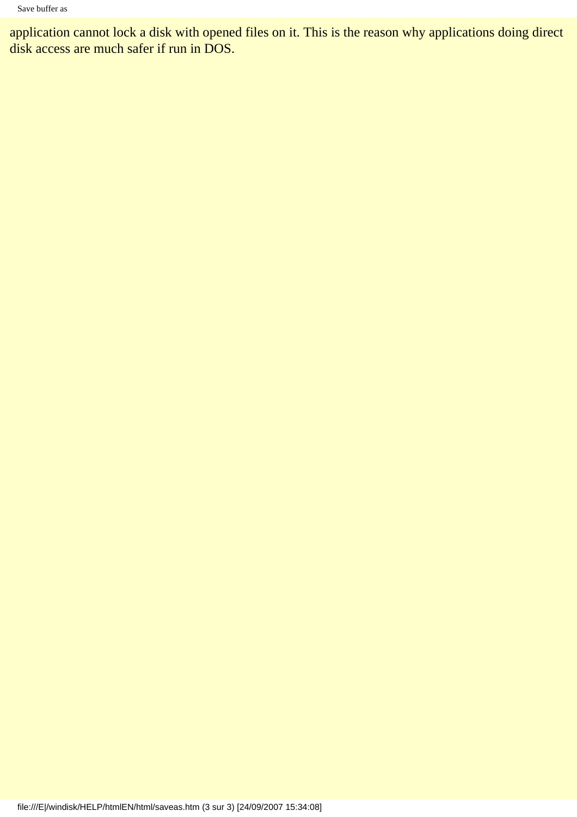application cannot lock a disk with opened files on it. This is the reason why applications doing direct disk access are much safer if run in DOS.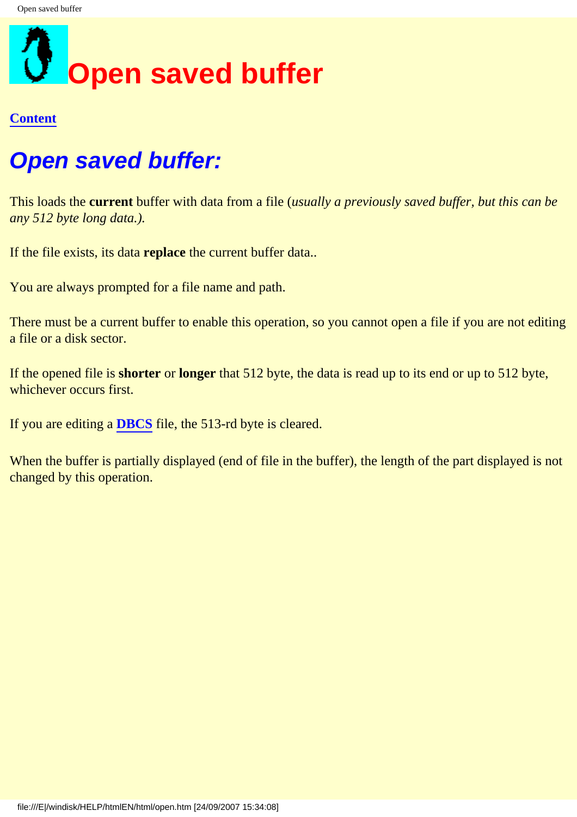<span id="page-24-0"></span>

### **Open saved buffer:**

This loads the **current** buffer with data from a file (*usually a previously saved buffer, but this can be any 512 byte long data.).*

If the file exists, its data **replace** the current buffer data..

You are always prompted for a file name and path.

There must be a current buffer to enable this operation, so you cannot open a file if you are not editing a file or a disk sector.

If the opened file is **shorter** or **longer** that 512 byte, the data is read up to its end or up to 512 byte, whichever occurs first.

If you are editing a **[DBCS](#page-13-0)** file, the 513-rd byte is cleared.

When the buffer is partially displayed (end of file in the buffer), the length of the part displayed is not changed by this operation.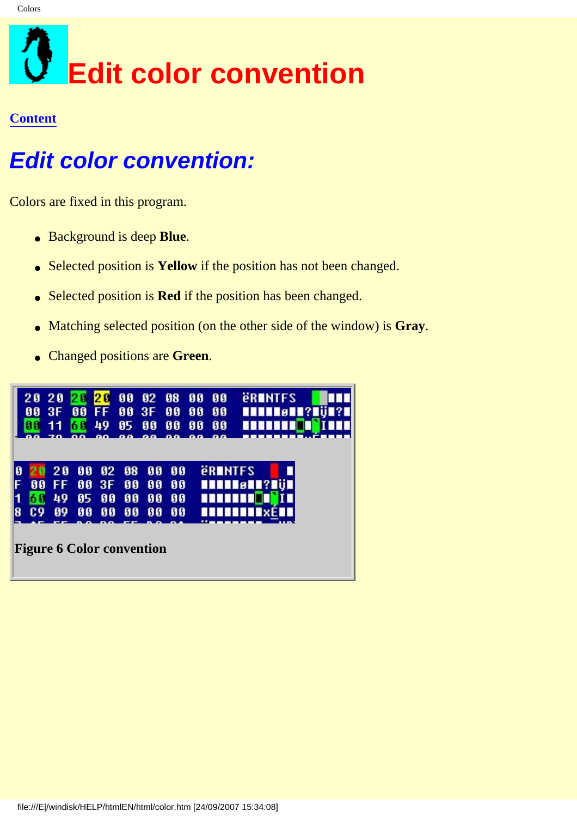## <span id="page-25-0"></span>**Edit color convention**

#### **[Content](#page-0-0)**

### **Edit color convention:**

Colors are fixed in this program.

- Background is deep **Blue**.
- Selected position is **Yellow** if the position has not been changed.
- Selected position is **Red** if the position has been changed.
- Matching selected position (on the other side of the window) is **Gray**.
- Changed positions are **Green**.

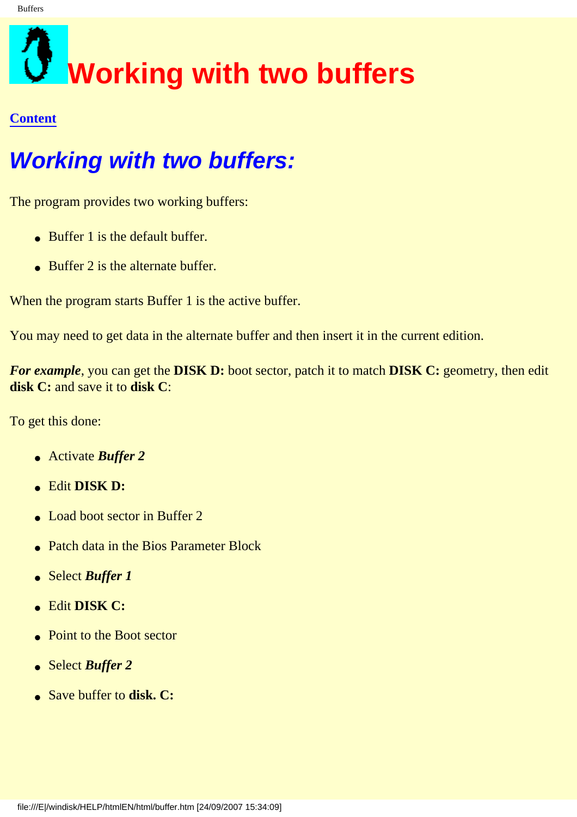# <span id="page-26-0"></span>**Working with two buffers**

#### **[Content](#page-0-0)**

## **Working with two buffers:**

The program provides two working buffers:

- Buffer 1 is the default buffer.
- $\bullet$  Buffer 2 is the alternate buffer.

When the program starts Buffer 1 is the active buffer.

You may need to get data in the alternate buffer and then insert it in the current edition.

*For example*, you can get the **DISK D:** boot sector, patch it to match **DISK C:** geometry, then edit **disk C:** and save it to **disk C**:

To get this done:

- Activate *Buffer 2*
- Edit **DISK D:**
- Load boot sector in Buffer 2
- Patch data in the Bios Parameter Block
- Select *Buffer 1*
- Edit **DISK C:**
- Point to the Boot sector
- Select *Buffer 2*
- Save buffer to **disk. C:**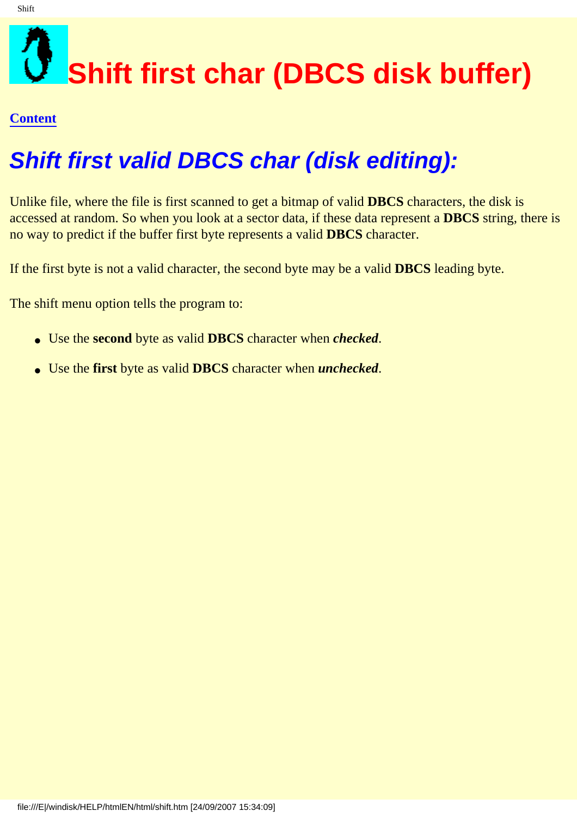## <span id="page-27-0"></span>**Shift first char (DBCS disk buffer)**

#### **[Content](#page-0-0)**

## **Shift first valid DBCS char (disk editing):**

Unlike file, where the file is first scanned to get a bitmap of valid **DBCS** characters, the disk is accessed at random. So when you look at a sector data, if these data represent a **DBCS** string, there is no way to predict if the buffer first byte represents a valid **DBCS** character.

If the first byte is not a valid character, the second byte may be a valid **DBCS** leading byte.

The shift menu option tells the program to:

- Use the **second** byte as valid **DBCS** character when *checked*.
- Use the **first** byte as valid **DBCS** character when *unchecked*.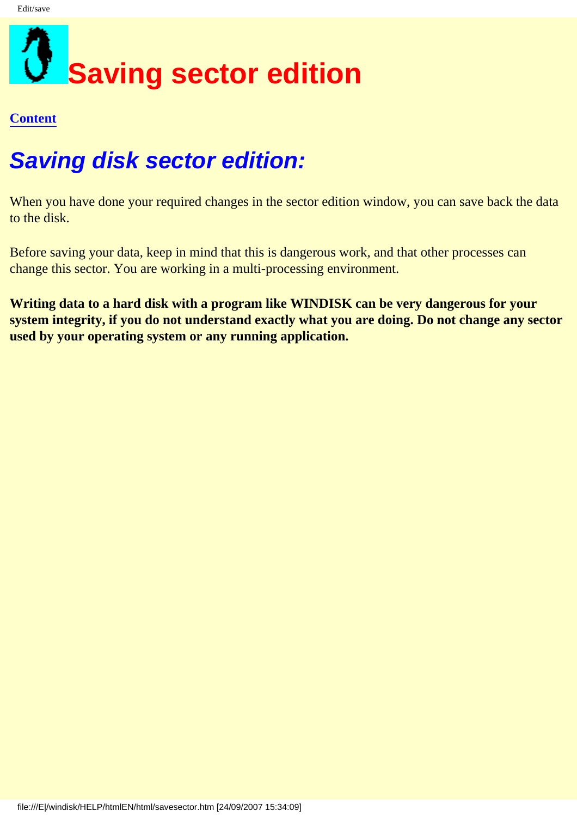<span id="page-28-0"></span>

## **Saving disk sector edition:**

When you have done your required changes in the sector edition window, you can save back the data to the disk.

Before saving your data, keep in mind that this is dangerous work, and that other processes can change this sector. You are working in a multi-processing environment.

**Writing data to a hard disk with a program like WINDISK can be very dangerous for your system integrity, if you do not understand exactly what you are doing. Do not change any sector used by your operating system or any running application.**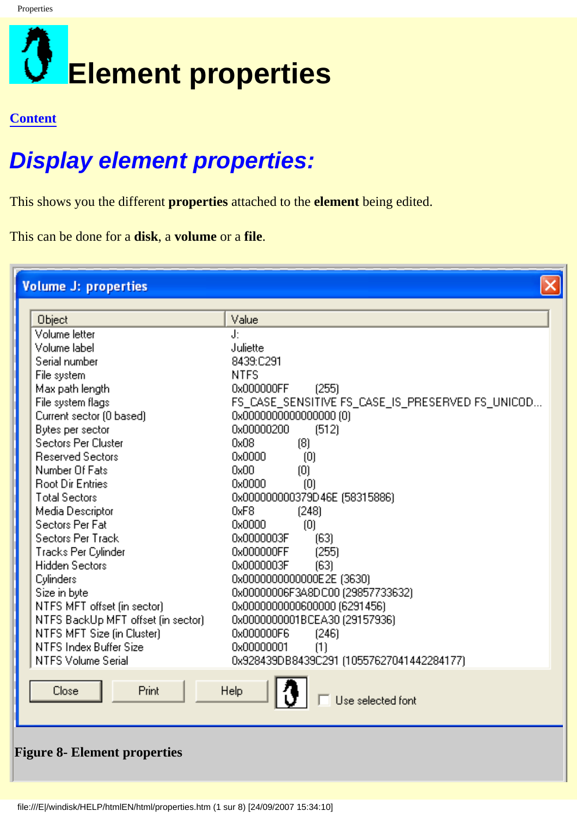<span id="page-29-0"></span>

## **Display element properties:**

<span id="page-29-1"></span>file:///E|/windisk/HELP/htmlEN/html/properties.htm (1 sur 8) [24/09/2007 15:34:10]

This shows you the different **properties** attached to the **element** being edited.

This can be done for a **disk**, a **volume** or a **file**.

| <b>Volume J: properties</b><br>Object<br>Volume letter<br>Volume label<br>Serial number<br>File system<br>Max path length<br>File system flags<br>Current sector (0 based)<br>Bytes per sector<br>Sectors Per Cluster<br><b>Reserved Sectors</b><br>Number Of Fats<br><b>Root Dir Entries</b><br><b>Total Sectors</b>    | Value<br>J:<br>Juliette<br>8439:C291<br><b>NTFS</b><br>0x000000FF<br>(255)<br>FS_CASE_SENSITIVE FS_CASE_IS_PRESERVED FS_UNICOD<br>0x00000000000000000 (0)<br>0x00000200<br>(512)<br>0x08<br>(8)<br>0x0000<br>$\left( 0\right)$<br>0x00<br>$\left( 0\right)$<br>0x0000<br>$\left( 0\right)$<br>0x000000000379D46E (58315886)                        |
|--------------------------------------------------------------------------------------------------------------------------------------------------------------------------------------------------------------------------------------------------------------------------------------------------------------------------|----------------------------------------------------------------------------------------------------------------------------------------------------------------------------------------------------------------------------------------------------------------------------------------------------------------------------------------------------|
| Media Descriptor<br>Sectors Per Fat<br>Sectors Per Track<br>Tracks Per Cylinder<br><b>Hidden Sectors</b><br><b>Cylinders</b><br>Size in byte<br>NTFS MFT offset (in sector)<br>NTFS BackUp MFT offset (in sector)<br>NTFS MFT Size (in Cluster)<br>NTFS Index Buffer Size<br><b>NTFS Volume Serial</b><br>Print<br>Close | 0xF8<br>[248]<br>0x0000<br>$\left( 0\right)$<br>0x0000003F<br>(63)<br>(255)<br>0x000000FF<br>0x0000003F<br>(63)<br>0x0000000000000E2E (3630)<br>0x00000006F3A8DC00 (29857733632)<br>0x0000000000600000 (6291456)<br>0x0000000001BCEA30 (29157936)<br>0x000000F6<br>[246]<br>0x00000001<br>(1)<br>0x928439DB8439C291 (10557627041442284177)<br>Help |
| <b>Figure 8- Element properties</b>                                                                                                                                                                                                                                                                                      | Use selected font                                                                                                                                                                                                                                                                                                                                  |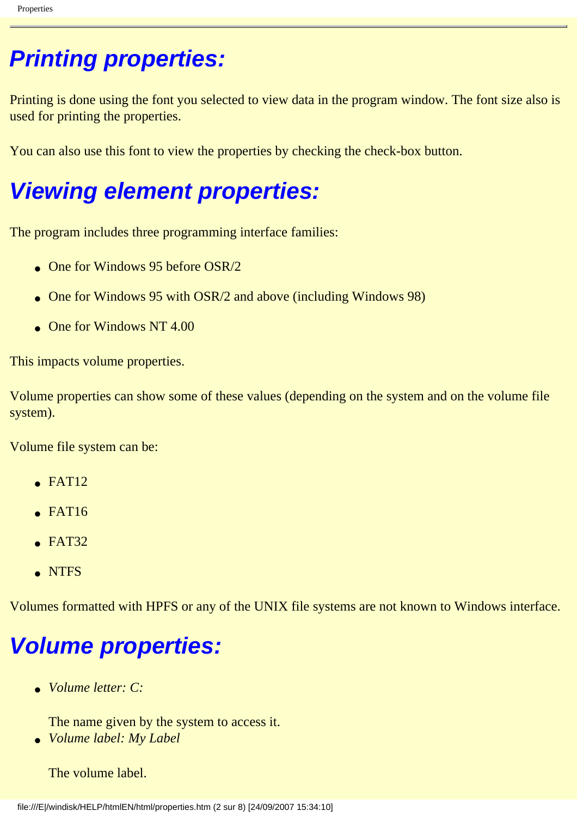## **Printing properties:**

Printing is done using the font you selected to view data in the program window. The font size also is used for printing the properties.

You can also use this font to view the properties by checking the check-box button.

### **Viewing element properties:**

The program includes three programming interface families:

- One for Windows 95 before  $OSR/2$
- One for Windows 95 with OSR/2 and above (including Windows 98)
- $\bullet$  One for Windows NT 4.00

This impacts volume properties.

Volume properties can show some of these values (depending on the system and on the volume file system).

Volume file system can be:

- $\epsilon$  FAT12
- $\bullet$  FAT16
- $\bullet$  FAT32
- NTFS

Volumes formatted with HPFS or any of the UNIX file systems are not known to Windows interface.

## **Volume properties:**

● *Volume letter: C:*

The name given by the system to access it.

● *Volume label: My Label*

The volume label.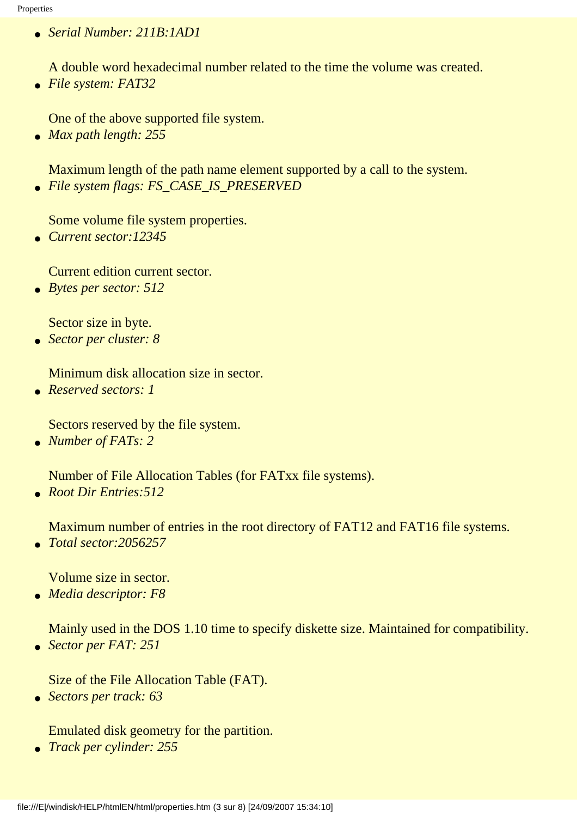● *Serial Number: 211B:1AD1*

A double word hexadecimal number related to the time the volume was created.

● *File system: FAT32*

One of the above supported file system.

● *Max path length: 255*

Maximum length of the path name element supported by a call to the system. ● *File system flags: FS\_CASE\_IS\_PRESERVED*

Some volume file system properties.

● *Current sector:12345*

Current edition current sector.

● *Bytes per sector: 512*

Sector size in byte.

● *Sector per cluster: 8*

Minimum disk allocation size in sector.

● *Reserved sectors: 1*

Sectors reserved by the file system.

● *Number of FATs: 2*

Number of File Allocation Tables (for FATxx file systems).

● *Root Dir Entries:512*

Maximum number of entries in the root directory of FAT12 and FAT16 file systems.

● *Total sector:2056257*

Volume size in sector.

● *Media descriptor: F8*

Mainly used in the DOS 1.10 time to specify diskette size. Maintained for compatibility.

● *Sector per FAT: 251*

Size of the File Allocation Table (FAT).

● *Sectors per track: 63*

Emulated disk geometry for the partition.

● *Track per cylinder: 255*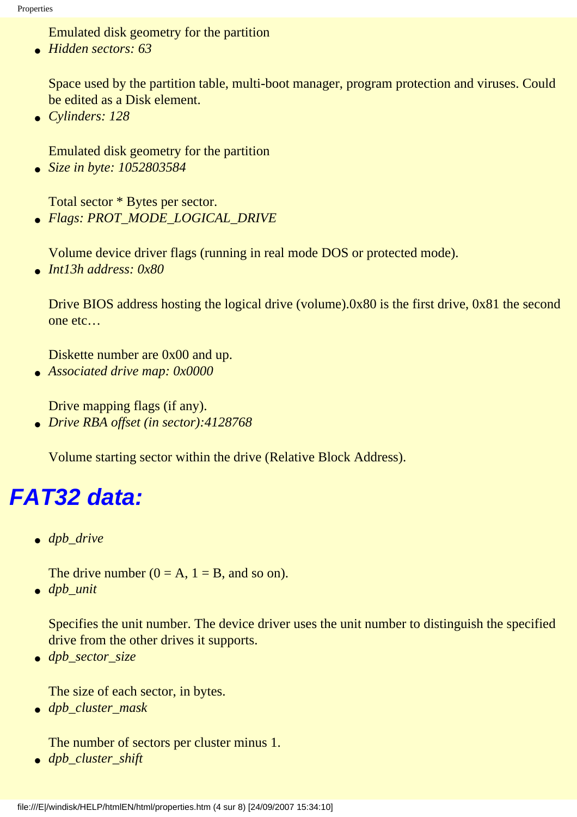Emulated disk geometry for the partition

● *Hidden sectors: 63*

Space used by the partition table, multi-boot manager, program protection and viruses. Could be edited as a Disk element.

● *Cylinders: 128*

Emulated disk geometry for the partition

● *Size in byte: 1052803584*

Total sector \* Bytes per sector.

● *Flags: PROT\_MODE\_LOGICAL\_DRIVE*

Volume device driver flags (running in real mode DOS or protected mode).

● *Int13h address: 0x80*

Drive BIOS address hosting the logical drive (volume).0x80 is the first drive, 0x81 the second one etc…

Diskette number are 0x00 and up.

● *Associated drive map: 0x0000*

Drive mapping flags (if any).

● *Drive RBA offset (in sector):4128768*

Volume starting sector within the drive (Relative Block Address).

### **FAT32 data:**

● *dpb\_drive*

The drive number  $(0 = A, 1 = B,$  and so on).

● *dpb\_unit* 

Specifies the unit number. The device driver uses the unit number to distinguish the specified drive from the other drives it supports.

● *dpb\_sector\_size* 

The size of each sector, in bytes.

● *dpb\_cluster\_mask* 

The number of sectors per cluster minus 1.

● *dpb\_cluster\_shift*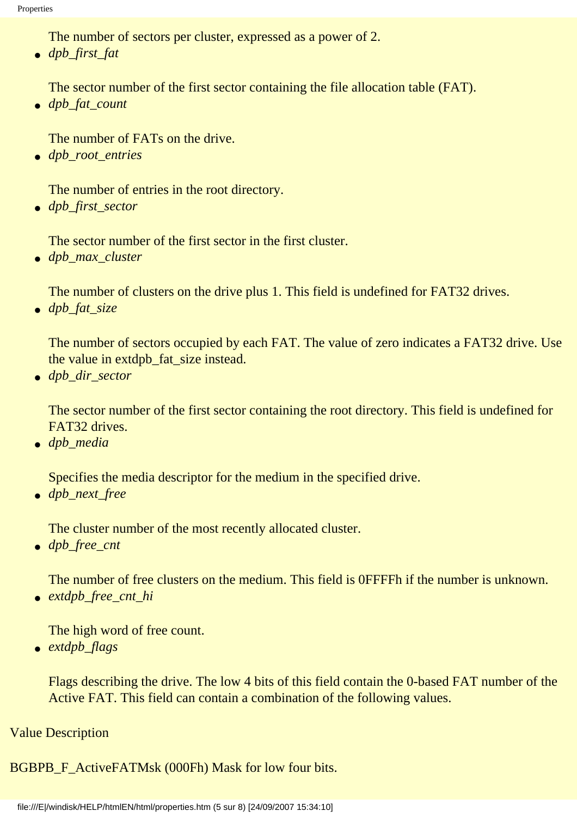The number of sectors per cluster, expressed as a power of 2.

● *dpb\_first\_fat* 

The sector number of the first sector containing the file allocation table (FAT).

● *dpb\_fat\_count* 

The number of FATs on the drive.

● *dpb\_root\_entries* 

The number of entries in the root directory.

● *dpb\_first\_sector* 

The sector number of the first sector in the first cluster.

● *dpb\_max\_cluster* 

The number of clusters on the drive plus 1. This field is undefined for FAT32 drives.

● *dpb\_fat\_size* 

The number of sectors occupied by each FAT. The value of zero indicates a FAT32 drive. Use the value in extdpb\_fat\_size instead.

● *dpb\_dir\_sector* 

The sector number of the first sector containing the root directory. This field is undefined for FAT32 drives.

● *dpb\_media* 

Specifies the media descriptor for the medium in the specified drive.

● *dpb\_next\_free* 

The cluster number of the most recently allocated cluster.

● *dpb\_free\_cnt* 

The number of free clusters on the medium. This field is 0FFFFh if the number is unknown.

● *extdpb\_free\_cnt\_hi* 

The high word of free count.

● *extdpb\_flags* 

Flags describing the drive. The low 4 bits of this field contain the 0-based FAT number of the Active FAT. This field can contain a combination of the following values.

#### Value Description

BGBPB\_F\_ActiveFATMsk (000Fh) Mask for low four bits.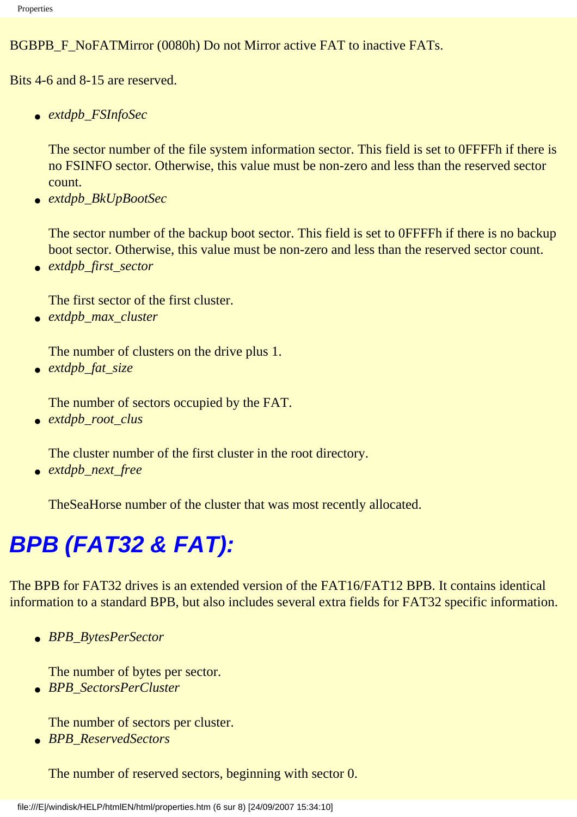#### BGBPB F\_NoFATMirror (0080h) Do not Mirror active FAT to inactive FATs.

Bits 4-6 and 8-15 are reserved.

● *extdpb\_FSInfoSec* 

The sector number of the file system information sector. This field is set to 0FFFFh if there is no FSINFO sector. Otherwise, this value must be non-zero and less than the reserved sector count.

● *extdpb\_BkUpBootSec* 

The sector number of the backup boot sector. This field is set to 0FFFFh if there is no backup boot sector. Otherwise, this value must be non-zero and less than the reserved sector count.

● *extdpb\_first\_sector* 

The first sector of the first cluster.

● *extdpb\_max\_cluster* 

The number of clusters on the drive plus 1.

● *extdpb\_fat\_size* 

The number of sectors occupied by the FAT.

● *extdpb\_root\_clus* 

The cluster number of the first cluster in the root directory.

● *extdpb\_next\_free* 

TheSeaHorse number of the cluster that was most recently allocated.

## **BPB (FAT32 & FAT):**

The BPB for FAT32 drives is an extended version of the FAT16/FAT12 BPB. It contains identical information to a standard BPB, but also includes several extra fields for FAT32 specific information.

● *BPB\_BytesPerSector* 

The number of bytes per sector.

● *BPB\_SectorsPerCluster* 

The number of sectors per cluster.

● *BPB\_ReservedSectors* 

The number of reserved sectors, beginning with sector 0.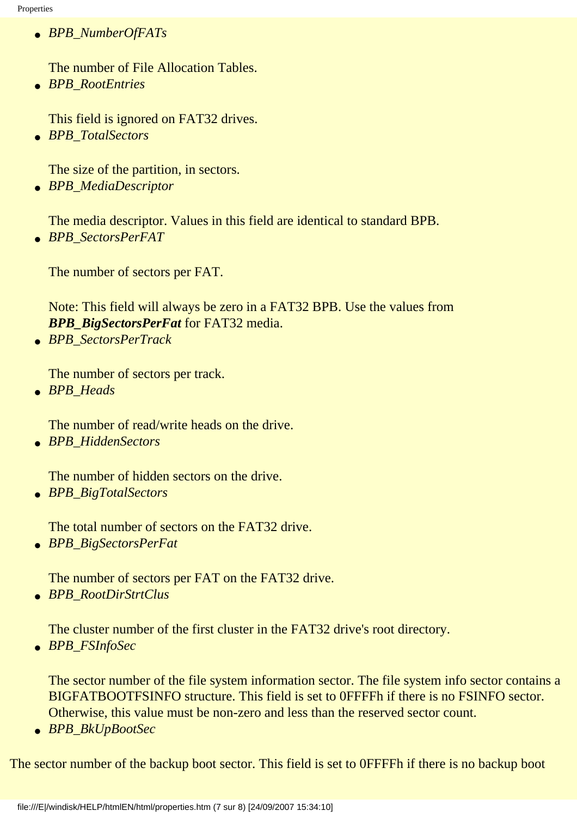● *BPB\_NumberOfFATs* 

The number of File Allocation Tables.

● *BPB\_RootEntries* 

This field is ignored on FAT32 drives.

● *BPB\_TotalSectors* 

The size of the partition, in sectors.

● *BPB\_MediaDescriptor* 

The media descriptor. Values in this field are identical to standard BPB.

● *BPB\_SectorsPerFAT* 

The number of sectors per FAT.

Note: This field will always be zero in a FAT32 BPB. Use the values from *BPB\_BigSectorsPerFat* for FAT32 media.

● *BPB\_SectorsPerTrack* 

The number of sectors per track.

● *BPB\_Heads* 

The number of read/write heads on the drive.

● *BPB\_HiddenSectors* 

The number of hidden sectors on the drive.

● *BPB\_BigTotalSectors* 

The total number of sectors on the FAT32 drive.

● *BPB\_BigSectorsPerFat* 

The number of sectors per FAT on the FAT32 drive.

● *BPB\_RootDirStrtClus* 

The cluster number of the first cluster in the FAT32 drive's root directory.

● *BPB\_FSInfoSec* 

The sector number of the file system information sector. The file system info sector contains a BIGFATBOOTFSINFO structure. This field is set to 0FFFFh if there is no FSINFO sector. Otherwise, this value must be non-zero and less than the reserved sector count.

● *BPB\_BkUpBootSec* 

The sector number of the backup boot sector. This field is set to 0FFFFh if there is no backup boot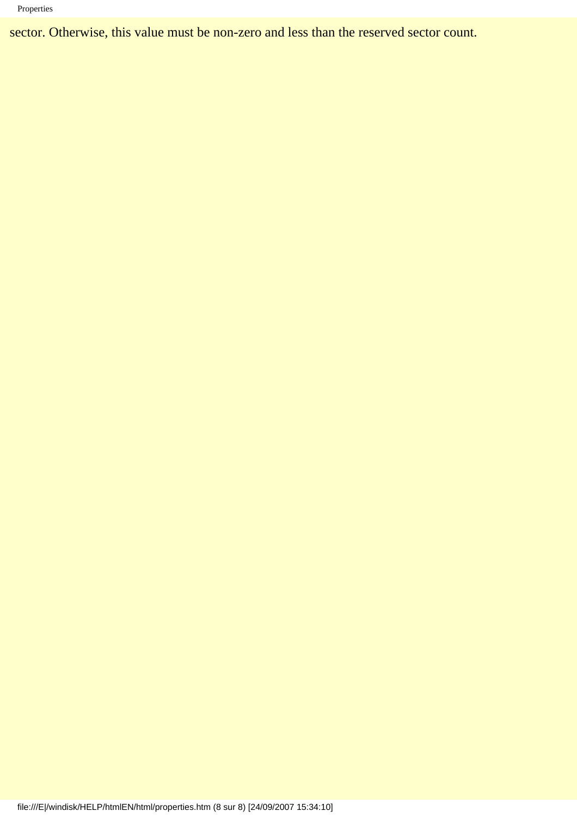#### Properties

sector. Otherwise, this value must be non-zero and less than the reserved sector count.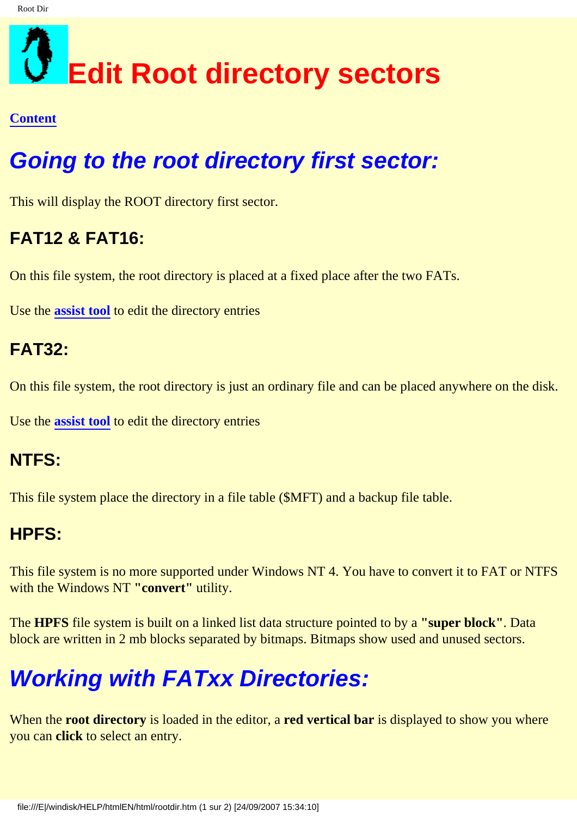## <span id="page-37-0"></span>**Edit Root directory sectors**

#### **[Content](#page-0-0)**

## **Going to the root directory first sector:**

This will display the ROOT directory first sector.

### **FAT12 & FAT16:**

On this file system, the root directory is placed at a fixed place after the two FATs.

Use the **[assist tool](#page-39-0)** to edit the directory entries

#### **FAT32:**

On this file system, the root directory is just an ordinary file and can be placed anywhere on the disk.

Use the **[assist tool](#page-39-0)** to edit the directory entries

#### **NTFS:**

This file system place the directory in a file table (\$MFT) and a backup file table.

#### **HPFS:**

This file system is no more supported under Windows NT 4. You have to convert it to FAT or NTFS with the Windows NT **"convert"** utility.

The **HPFS** file system is built on a linked list data structure pointed to by a **"super block"**. Data block are written in 2 mb blocks separated by bitmaps. Bitmaps show used and unused sectors.

## **Working with FATxx Directories:**

When the **root directory** is loaded in the editor, a **red vertical bar** is displayed to show you where you can **click** to select an entry.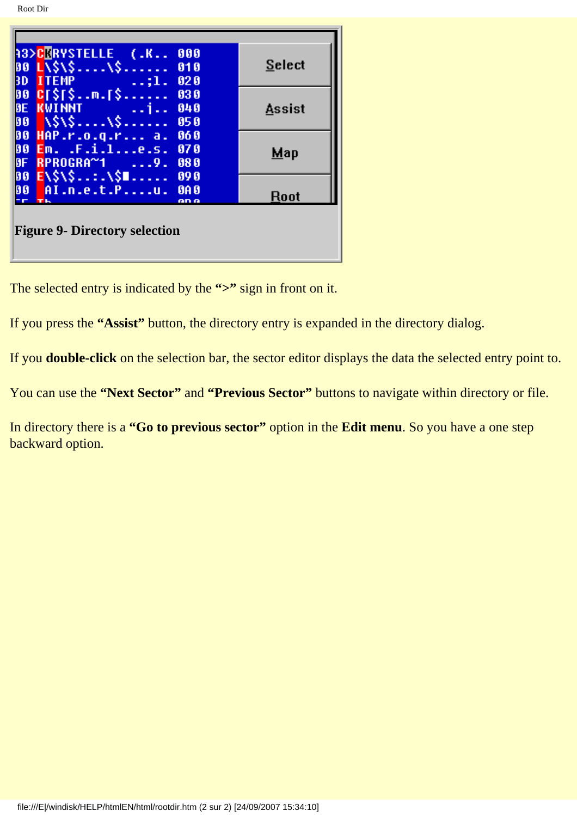| <b>A3&gt;CERYSTELLE (.K</b><br>000<br>00 L\\$\\$\\$<br>010<br>3D ITEMP ;1.<br>020                | <b>Select</b> |  |
|--------------------------------------------------------------------------------------------------|---------------|--|
| 00 CT\$T\$m.[\$<br>030<br>DE KWINNT<br>DO \\$\\$\\$<br>040<br>050                                | <b>Assist</b> |  |
| 00 HAP.r.o.q.r a.<br>060<br>00 Em. .F.i.le.s.<br>070<br><b>BF</b><br>$RPROGRA^{\sim}1$ 9.<br>080 | <b>Map</b>    |  |
| 00 E\\$\\$:.\\$U<br>090<br>00 AI.n.e.t.Pu.<br><b>GA 0</b><br><b>TH</b><br>on o                   | Root          |  |
| <b>Figure 9- Directory selection</b>                                                             |               |  |

<span id="page-38-0"></span>The selected entry is indicated by the **">"** sign in front on it.

If you press the **"Assist"** button, the directory entry is expanded in the directory dialog.

If you **double-click** on the selection bar, the sector editor displays the data the selected entry point to.

You can use the **"Next Sector"** and **"Previous Sector"** buttons to navigate within directory or file.

In directory there is a **"Go to previous sector"** option in the **Edit menu**. So you have a one step backward option.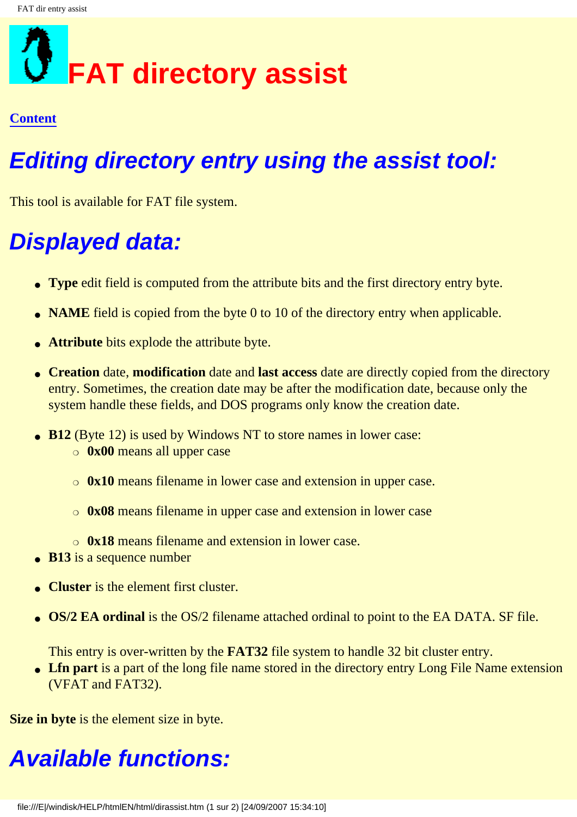## <span id="page-39-0"></span>**FAT directory assist**

#### **[Content](#page-0-0)**

## **Editing directory entry using the assist tool:**

This tool is available for FAT file system.

## **Displayed data:**

- **Type** edit field is computed from the attribute bits and the first directory entry byte.
- **NAME** field is copied from the byte 0 to 10 of the directory entry when applicable.
- **Attribute** bits explode the attribute byte.
- **Creation** date, **modification** date and **last access** date are directly copied from the directory entry. Sometimes, the creation date may be after the modification date, because only the system handle these fields, and DOS programs only know the creation date.
- **B12** (Byte 12) is used by Windows NT to store names in lower case:
	- ❍ **0x00** means all upper case
	- ❍ **0x10** means filename in lower case and extension in upper case.
	- ❍ **0x08** means filename in upper case and extension in lower case
	- ❍ **0x18** means filename and extension in lower case.
- **B13** is a sequence number
- **Cluster** is the element first cluster.
- **OS/2 EA ordinal** is the OS/2 filename attached ordinal to point to the EA DATA. SF file.

This entry is over-written by the **FAT32** file system to handle 32 bit cluster entry.

• Lin part is a part of the long file name stored in the directory entry Long File Name extension (VFAT and FAT32).

**Size in byte** is the element size in byte.

## **Available functions:**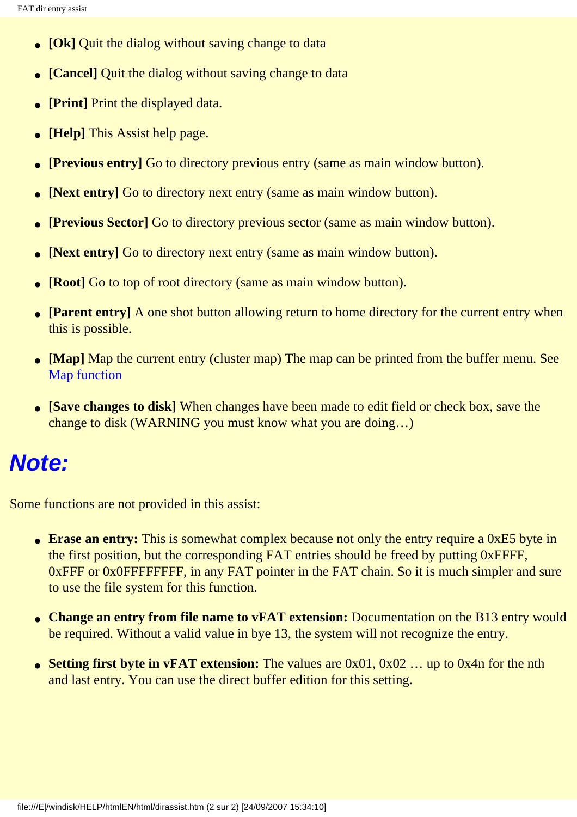- **[Ok]** Quit the dialog without saving change to data
- **[Cancel]** Quit the dialog without saving change to data
- **[Print]** Print the displayed data.
- **[Help]** This Assist help page.
- **[Previous entry]** Go to directory previous entry (same as main window button).
- **[Next entry]** Go to directory next entry (same as main window button).
- **[Previous Sector]** Go to directory previous sector (same as main window button).
- **[Next entry]** Go to directory next entry (same as main window button).
- **[Root]** Go to top of root directory (same as main window button).
- **[Parent entry]** A one shot button allowing return to home directory for the current entry when this is possible.
- **[Map]** Map the current entry (cluster map) The map can be printed from the buffer menu. See [Map function](#page-41-0)
- **[Save changes to disk]** When changes have been made to edit field or check box, save the change to disk (WARNING you must know what you are doing…)

## **Note:**

Some functions are not provided in this assist:

- **Erase an entry:** This is somewhat complex because not only the entry require a 0xE5 byte in the first position, but the corresponding FAT entries should be freed by putting 0xFFFF, 0xFFF or 0x0FFFFFFFF, in any FAT pointer in the FAT chain. So it is much simpler and sure to use the file system for this function.
- **Change an entry from file name to vFAT extension:** Documentation on the B13 entry would be required. Without a valid value in bye 13, the system will not recognize the entry.
- **Setting first byte in vFAT extension:** The values are 0x01, 0x02 ... up to 0x4n for the nth and last entry. You can use the direct buffer edition for this setting.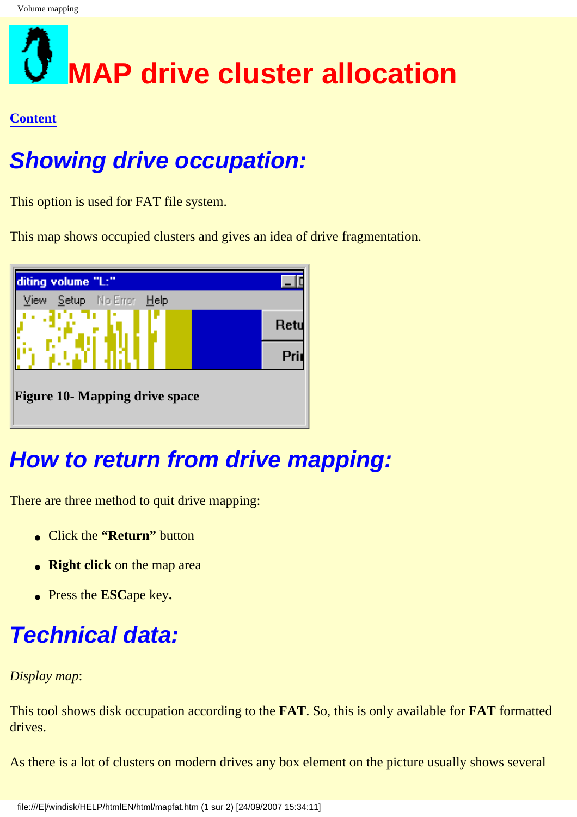## <span id="page-41-0"></span>**MAP drive cluster allocation**

#### **[Content](#page-0-0)**

## **Showing drive occupation:**

This option is used for FAT file system.

<span id="page-41-1"></span>This map shows occupied clusters and gives an idea of drive fragmentation.



## **How to return from drive mapping:**

There are three method to quit drive mapping:

- Click the **"Return"** button
- **Right click** on the map area
- Press the **ESC**ape key**.**

## **Technical data:**

#### *Display map*:

This tool shows disk occupation according to the **FAT**. So, this is only available for **FAT** formatted drives.

As there is a lot of clusters on modern drives any box element on the picture usually shows several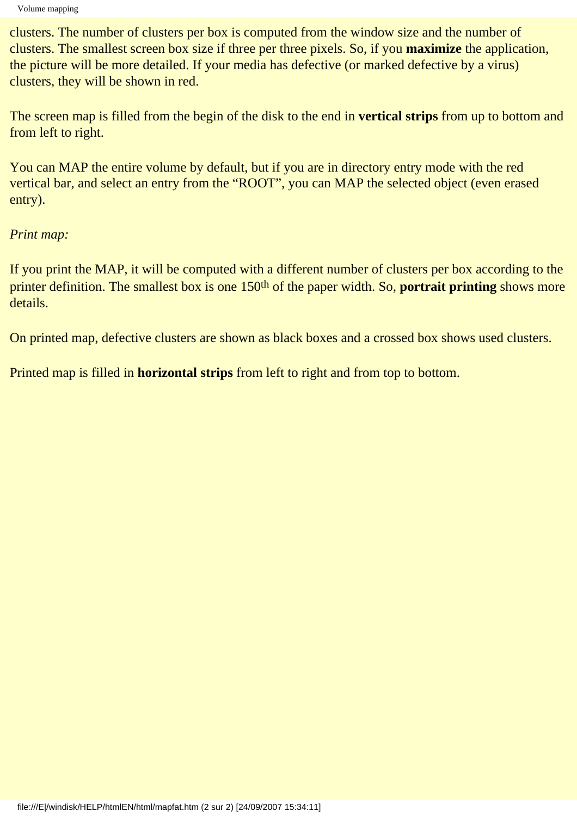clusters. The number of clusters per box is computed from the window size and the number of clusters. The smallest screen box size if three per three pixels. So, if you **maximize** the application, the picture will be more detailed. If your media has defective (or marked defective by a virus) clusters, they will be shown in red.

The screen map is filled from the begin of the disk to the end in **vertical strips** from up to bottom and from left to right.

You can MAP the entire volume by default, but if you are in directory entry mode with the red vertical bar, and select an entry from the "ROOT", you can MAP the selected object (even erased entry).

#### *Print map:*

If you print the MAP, it will be computed with a different number of clusters per box according to the printer definition. The smallest box is one 150th of the paper width. So, **portrait printing** shows more details.

On printed map, defective clusters are shown as black boxes and a crossed box shows used clusters.

Printed map is filled in **horizontal strips** from left to right and from top to bottom.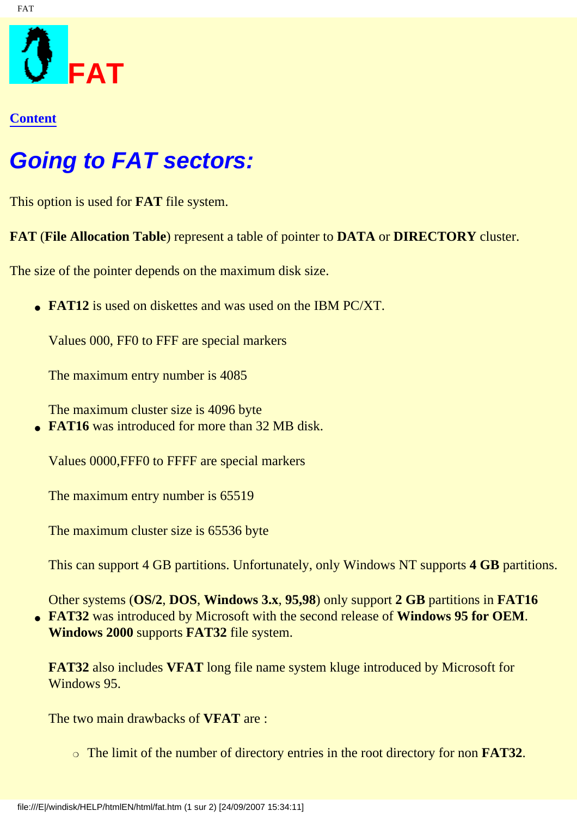<span id="page-43-0"></span>

FAT

### **Going to FAT sectors:**

This option is used for **FAT** file system.

**FAT** (**File Allocation Table**) represent a table of pointer to **DATA** or **DIRECTORY** cluster.

The size of the pointer depends on the maximum disk size.

**• FAT12** is used on diskettes and was used on the IBM PC/XT.

Values 000, FF0 to FFF are special markers

The maximum entry number is 4085

The maximum cluster size is 4096 byte • **FAT16** was introduced for more than 32 MB disk.

Values 0000,FFF0 to FFFF are special markers

The maximum entry number is 65519

The maximum cluster size is 65536 byte

This can support 4 GB partitions. Unfortunately, only Windows NT supports **4 GB** partitions.

Other systems (**OS/2**, **DOS**, **Windows 3.x**, **95,98**) only support **2 GB** partitions in **FAT16** ● **FAT32** was introduced by Microsoft with the second release of **Windows 95 for OEM**. **Windows 2000** supports **FAT32** file system.

**FAT32** also includes **VFAT** long file name system kluge introduced by Microsoft for Windows 95.

The two main drawbacks of **VFAT** are :

❍ The limit of the number of directory entries in the root directory for non **FAT32**.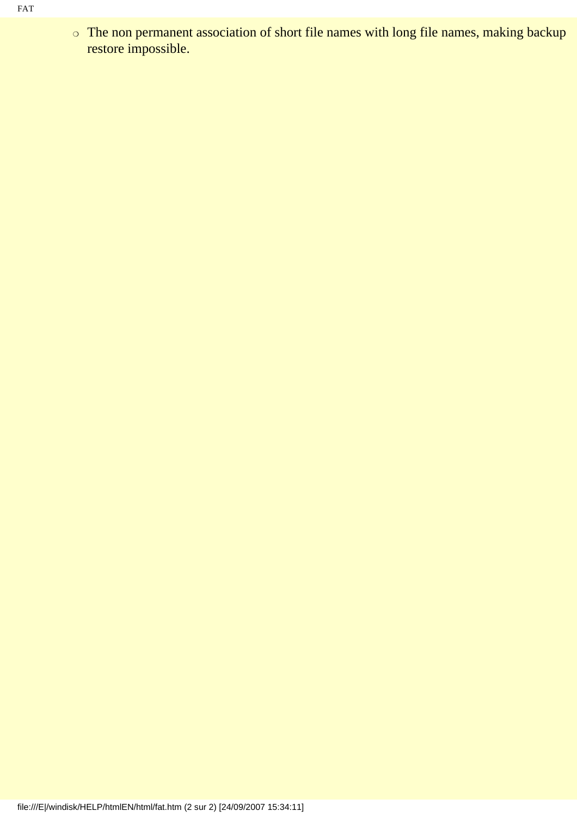o The non permanent association of short file names with long file names, making backup restore impossible.